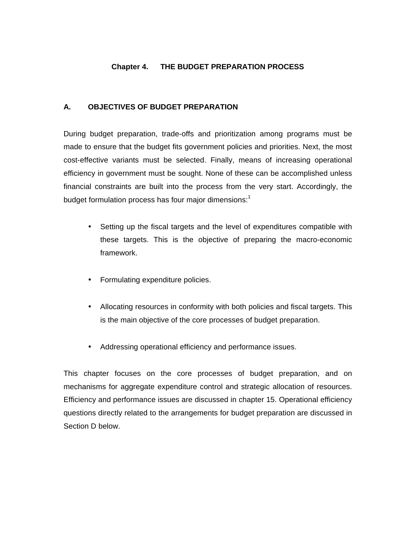# **Chapter 4. THE BUDGET PREPARATION PROCESS**

## **A. OBJECTIVES OF BUDGET PREPARATION**

During budget preparation, trade-offs and prioritization among programs must be made to ensure that the budget fits government policies and priorities. Next, the most cost-effective variants must be selected. Finally, means of increasing operational efficiency in government must be sought. None of these can be accomplished unless financial constraints are built into the process from the very start. Accordingly, the budget formulation process has four major dimensions:<sup>1</sup>

- Setting up the fiscal targets and the level of expenditures compatible with these targets. This is the objective of preparing the macro-economic framework.
- Formulating expenditure policies.
- Allocating resources in conformity with both policies and fiscal targets. This is the main objective of the core processes of budget preparation.
- Addressing operational efficiency and performance issues.

This chapter focuses on the core processes of budget preparation, and on mechanisms for aggregate expenditure control and strategic allocation of resources. Efficiency and performance issues are discussed in chapter 15. Operational efficiency questions directly related to the arrangements for budget preparation are discussed in Section D below.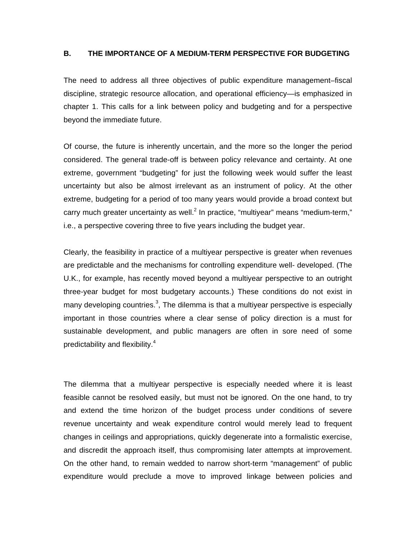### **B. THE IMPORTANCE OF A MEDIUM-TERM PERSPECTIVE FOR BUDGETING**

The need to address all three objectives of public expenditure management–fiscal discipline, strategic resource allocation, and operational efficiency—is emphasized in chapter 1. This calls for a link between policy and budgeting and for a perspective beyond the immediate future.

Of course, the future is inherently uncertain, and the more so the longer the period considered. The general trade-off is between policy relevance and certainty. At one extreme, government "budgeting" for just the following week would suffer the least uncertainty but also be almost irrelevant as an instrument of policy. At the other extreme, budgeting for a period of too many years would provide a broad context but carry much greater uncertainty as well. $^2$  In practice, "multiyear" means "medium-term," i.e., a perspective covering three to five years including the budget year.

Clearly, the feasibility in practice of a multiyear perspective is greater when revenues are predictable and the mechanisms for controlling expenditure well- developed. (The U.K., for example, has recently moved beyond a multiyear perspective to an outright three-year budget for most budgetary accounts.) These conditions do not exist in many developing countries.<sup>3</sup>, The dilemma is that a multiyear perspective is especially important in those countries where a clear sense of policy direction is a must for sustainable development, and public managers are often in sore need of some predictability and flexibility.<sup>4</sup>

The dilemma that a multiyear perspective is especially needed where it is least feasible cannot be resolved easily, but must not be ignored. On the one hand, to try and extend the time horizon of the budget process under conditions of severe revenue uncertainty and weak expenditure control would merely lead to frequent changes in ceilings and appropriations, quickly degenerate into a formalistic exercise, and discredit the approach itself, thus compromising later attempts at improvement. On the other hand, to remain wedded to narrow short-term "management" of public expenditure would preclude a move to improved linkage between policies and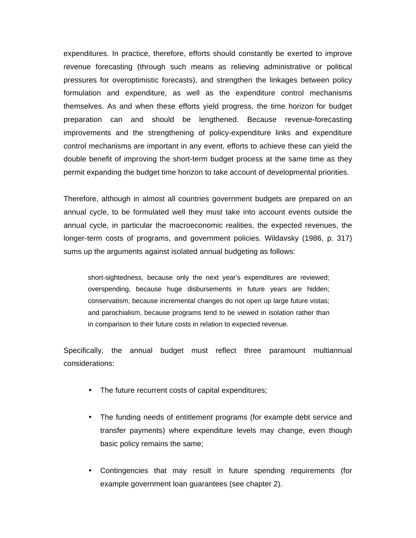expenditures. In practice, therefore, efforts should constantly be exerted to improve revenue forecasting (through such means as relieving administrative or political pressures for overoptimistic forecasts), and strengthen the linkages between policy formulation and expenditure, as well as the expenditure control mechanisms themselves. As and when these efforts yield progress, the time horizon for budget preparation can and should be lengthened. Because revenue-forecasting improvements and the strengthening of policy-expenditure links and expenditure control mechanisms are important in any event, efforts to achieve these can yield the double benefit of improving the short-term budget process at the same time as they permit expanding the budget time horizon to take account of developmental priorities.

Therefore, although in almost all countries government budgets are prepared on an annual cycle, to be formulated well they must take into account events outside the annual cycle, in particular the macroeconomic realities, the expected revenues, the longer-term costs of programs, and government policies. Wildavsky (1986, p. 317) sums up the arguments against isolated annual budgeting as follows:

short-sightedness, because only the next year's expenditures are reviewed; overspending, because huge disbursements in future years are hidden; conservatism, because incremental changes do not open up large future vistas; and parochialism, because programs tend to be viewed in isolation rather than in comparison to their future costs in relation to expected revenue.

Specifically, the annual budget must reflect three paramount multiannual considerations:

- The future recurrent costs of capital expenditures;
- The funding needs of entitlement programs (for example debt service and transfer payments) where expenditure levels may change, even though basic policy remains the same;
- Contingencies that may result in future spending requirements (for example government loan guarantees (see chapter 2).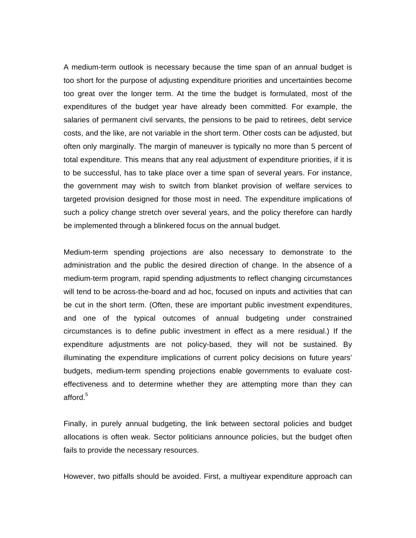A medium-term outlook is necessary because the time span of an annual budget is too short for the purpose of adjusting expenditure priorities and uncertainties become too great over the longer term. At the time the budget is formulated, most of the expenditures of the budget year have already been committed. For example, the salaries of permanent civil servants, the pensions to be paid to retirees, debt service costs, and the like, are not variable in the short term. Other costs can be adjusted, but often only marginally. The margin of maneuver is typically no more than 5 percent of total expenditure. This means that any real adjustment of expenditure priorities, if it is to be successful, has to take place over a time span of several years. For instance, the government may wish to switch from blanket provision of welfare services to targeted provision designed for those most in need. The expenditure implications of such a policy change stretch over several years, and the policy therefore can hardly be implemented through a blinkered focus on the annual budget.

Medium-term spending projections are also necessary to demonstrate to the administration and the public the desired direction of change. In the absence of a medium-term program, rapid spending adjustments to reflect changing circumstances will tend to be across-the-board and ad hoc, focused on inputs and activities that can be cut in the short term. (Often, these are important public investment expenditures, and one of the typical outcomes of annual budgeting under constrained circumstances is to define public investment in effect as a mere residual.) If the expenditure adjustments are not policy-based, they will not be sustained. By illuminating the expenditure implications of current policy decisions on future years' budgets, medium-term spending projections enable governments to evaluate costeffectiveness and to determine whether they are attempting more than they can afford. $5$ 

Finally, in purely annual budgeting, the link between sectoral policies and budget allocations is often weak. Sector politicians announce policies, but the budget often fails to provide the necessary resources.

However, two pitfalls should be avoided. First, a multiyear expenditure approach can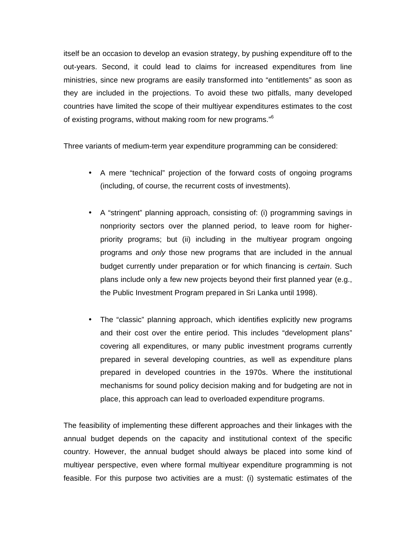itself be an occasion to develop an evasion strategy, by pushing expenditure off to the out-years. Second, it could lead to claims for increased expenditures from line ministries, since new programs are easily transformed into "entitlements" as soon as they are included in the projections. To avoid these two pitfalls, many developed countries have limited the scope of their multiyear expenditures estimates to the cost of existing programs, without making room for new programs."<sup>6</sup>

Three variants of medium-term year expenditure programming can be considered:

- A mere "technical" projection of the forward costs of ongoing programs (including, of course, the recurrent costs of investments).
- A "stringent" planning approach, consisting of: (i) programming savings in nonpriority sectors over the planned period, to leave room for higherpriority programs; but (ii) including in the multiyear program ongoing programs and *only* those new programs that are included in the annual budget currently under preparation or for which financing is *certain*. Such plans include only a few new projects beyond their first planned year (e.g., the Public Investment Program prepared in Sri Lanka until 1998).
- The "classic" planning approach, which identifies explicitly new programs and their cost over the entire period. This includes "development plans" covering all expenditures, or many public investment programs currently prepared in several developing countries, as well as expenditure plans prepared in developed countries in the 1970s. Where the institutional mechanisms for sound policy decision making and for budgeting are not in place, this approach can lead to overloaded expenditure programs.

The feasibility of implementing these different approaches and their linkages with the annual budget depends on the capacity and institutional context of the specific country. However, the annual budget should always be placed into some kind of multiyear perspective, even where formal multiyear expenditure programming is not feasible. For this purpose two activities are a must: (i) systematic estimates of the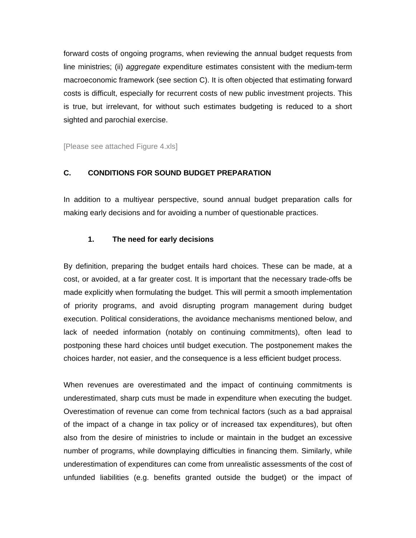forward costs of ongoing programs, when reviewing the annual budget requests from line ministries; (ii) *aggregate* expenditure estimates consistent with the medium-term macroeconomic framework (see section C). It is often objected that estimating forward costs is difficult, especially for recurrent costs of new public investment projects. This is true, but irrelevant, for without such estimates budgeting is reduced to a short sighted and parochial exercise.

[Please see attached Figure 4.xls]

### **C. CONDITIONS FOR SOUND BUDGET PREPARATION**

In addition to a multiyear perspective, sound annual budget preparation calls for making early decisions and for avoiding a number of questionable practices.

### **1. The need for early decisions**

By definition, preparing the budget entails hard choices. These can be made, at a cost, or avoided, at a far greater cost. It is important that the necessary trade-offs be made explicitly when formulating the budget. This will permit a smooth implementation of priority programs, and avoid disrupting program management during budget execution. Political considerations, the avoidance mechanisms mentioned below, and lack of needed information (notably on continuing commitments), often lead to postponing these hard choices until budget execution. The postponement makes the choices harder, not easier, and the consequence is a less efficient budget process.

When revenues are overestimated and the impact of continuing commitments is underestimated, sharp cuts must be made in expenditure when executing the budget. Overestimation of revenue can come from technical factors (such as a bad appraisal of the impact of a change in tax policy or of increased tax expenditures), but often also from the desire of ministries to include or maintain in the budget an excessive number of programs, while downplaying difficulties in financing them. Similarly, while underestimation of expenditures can come from unrealistic assessments of the cost of unfunded liabilities (e.g. benefits granted outside the budget) or the impact of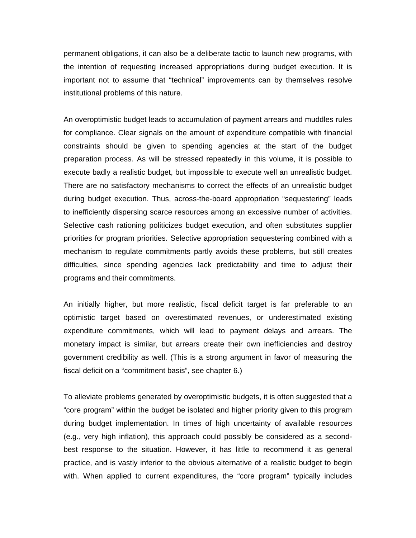permanent obligations, it can also be a deliberate tactic to launch new programs, with the intention of requesting increased appropriations during budget execution. It is important not to assume that "technical" improvements can by themselves resolve institutional problems of this nature.

An overoptimistic budget leads to accumulation of payment arrears and muddles rules for compliance. Clear signals on the amount of expenditure compatible with financial constraints should be given to spending agencies at the start of the budget preparation process. As will be stressed repeatedly in this volume, it is possible to execute badly a realistic budget, but impossible to execute well an unrealistic budget. There are no satisfactory mechanisms to correct the effects of an unrealistic budget during budget execution. Thus, across-the-board appropriation "sequestering" leads to inefficiently dispersing scarce resources among an excessive number of activities. Selective cash rationing politicizes budget execution, and often substitutes supplier priorities for program priorities. Selective appropriation sequestering combined with a mechanism to regulate commitments partly avoids these problems, but still creates difficulties, since spending agencies lack predictability and time to adjust their programs and their commitments.

An initially higher, but more realistic, fiscal deficit target is far preferable to an optimistic target based on overestimated revenues, or underestimated existing expenditure commitments, which will lead to payment delays and arrears. The monetary impact is similar, but arrears create their own inefficiencies and destroy government credibility as well. (This is a strong argument in favor of measuring the fiscal deficit on a "commitment basis", see chapter 6.)

To alleviate problems generated by overoptimistic budgets, it is often suggested that a "core program" within the budget be isolated and higher priority given to this program during budget implementation. In times of high uncertainty of available resources (e.g., very high inflation), this approach could possibly be considered as a secondbest response to the situation. However, it has little to recommend it as general practice, and is vastly inferior to the obvious alternative of a realistic budget to begin with. When applied to current expenditures, the "core program" typically includes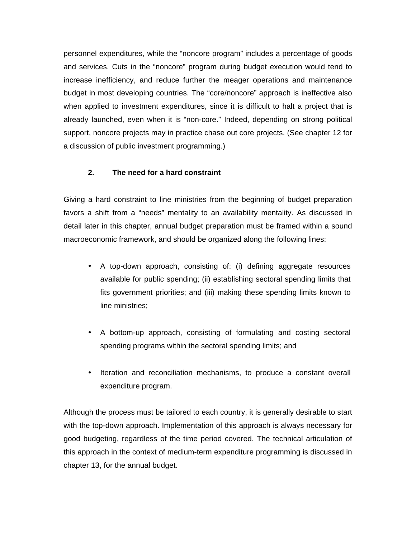personnel expenditures, while the "noncore program" includes a percentage of goods and services. Cuts in the "noncore" program during budget execution would tend to increase inefficiency, and reduce further the meager operations and maintenance budget in most developing countries. The "core/noncore" approach is ineffective also when applied to investment expenditures, since it is difficult to halt a project that is already launched, even when it is "non-core." Indeed, depending on strong political support, noncore projects may in practice chase out core projects. (See chapter 12 for a discussion of public investment programming.)

## **2. The need for a hard constraint**

Giving a hard constraint to line ministries from the beginning of budget preparation favors a shift from a "needs" mentality to an availability mentality. As discussed in detail later in this chapter, annual budget preparation must be framed within a sound macroeconomic framework, and should be organized along the following lines:

- A top-down approach, consisting of: (i) defining aggregate resources available for public spending; (ii) establishing sectoral spending limits that fits government priorities; and (iii) making these spending limits known to line ministries;
- A bottom-up approach, consisting of formulating and costing sectoral spending programs within the sectoral spending limits; and
- Iteration and reconciliation mechanisms, to produce a constant overall expenditure program.

Although the process must be tailored to each country, it is generally desirable to start with the top-down approach. Implementation of this approach is always necessary for good budgeting, regardless of the time period covered. The technical articulation of this approach in the context of medium-term expenditure programming is discussed in chapter 13, for the annual budget.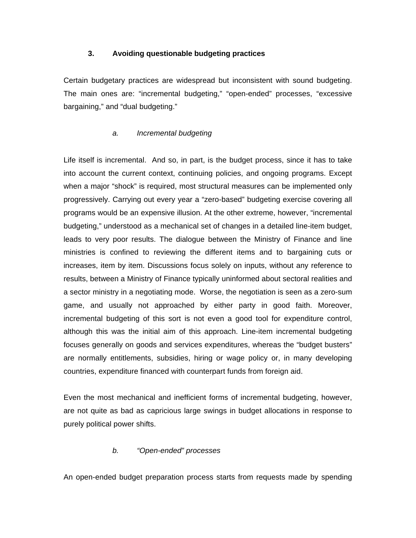## **3. Avoiding questionable budgeting practices**

Certain budgetary practices are widespread but inconsistent with sound budgeting. The main ones are: "incremental budgeting," "open-ended" processes, "excessive bargaining," and "dual budgeting."

### *a. Incremental budgeting*

Life itself is incremental. And so, in part, is the budget process, since it has to take into account the current context, continuing policies, and ongoing programs. Except when a major "shock" is required, most structural measures can be implemented only progressively. Carrying out every year a "zero-based" budgeting exercise covering all programs would be an expensive illusion. At the other extreme, however, "incremental budgeting," understood as a mechanical set of changes in a detailed line-item budget, leads to very poor results. The dialogue between the Ministry of Finance and line ministries is confined to reviewing the different items and to bargaining cuts or increases, item by item. Discussions focus solely on inputs, without any reference to results, between a Ministry of Finance typically uninformed about sectoral realities and a sector ministry in a negotiating mode. Worse, the negotiation is seen as a zero-sum game, and usually not approached by either party in good faith. Moreover, incremental budgeting of this sort is not even a good tool for expenditure control, although this was the initial aim of this approach. Line-item incremental budgeting focuses generally on goods and services expenditures, whereas the "budget busters" are normally entitlements, subsidies, hiring or wage policy or, in many developing countries, expenditure financed with counterpart funds from foreign aid.

Even the most mechanical and inefficient forms of incremental budgeting, however, are not quite as bad as capricious large swings in budget allocations in response to purely political power shifts.

## *b. "Open-ended" processes*

An open-ended budget preparation process starts from requests made by spending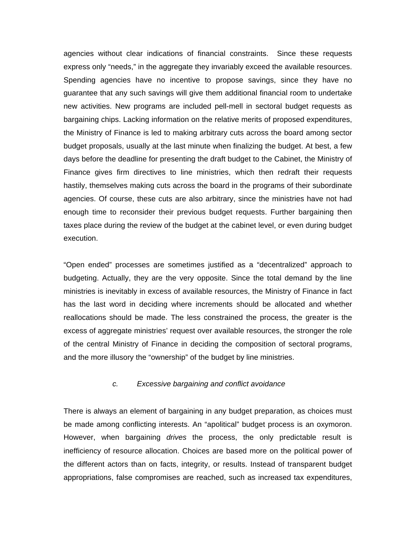agencies without clear indications of financial constraints. Since these requests express only "needs," in the aggregate they invariably exceed the available resources. Spending agencies have no incentive to propose savings, since they have no guarantee that any such savings will give them additional financial room to undertake new activities. New programs are included pell-mell in sectoral budget requests as bargaining chips. Lacking information on the relative merits of proposed expenditures, the Ministry of Finance is led to making arbitrary cuts across the board among sector budget proposals, usually at the last minute when finalizing the budget. At best, a few days before the deadline for presenting the draft budget to the Cabinet, the Ministry of Finance gives firm directives to line ministries, which then redraft their requests hastily, themselves making cuts across the board in the programs of their subordinate agencies. Of course, these cuts are also arbitrary, since the ministries have not had enough time to reconsider their previous budget requests. Further bargaining then taxes place during the review of the budget at the cabinet level, or even during budget execution.

"Open ended" processes are sometimes justified as a "decentralized" approach to budgeting. Actually, they are the very opposite. Since the total demand by the line ministries is inevitably in excess of available resources, the Ministry of Finance in fact has the last word in deciding where increments should be allocated and whether reallocations should be made. The less constrained the process, the greater is the excess of aggregate ministries' request over available resources, the stronger the role of the central Ministry of Finance in deciding the composition of sectoral programs, and the more illusory the "ownership" of the budget by line ministries.

#### *c. Excessive bargaining and conflict avoidance*

There is always an element of bargaining in any budget preparation, as choices must be made among conflicting interests. An "apolitical" budget process is an oxymoron. However, when bargaining *drives* the process, the only predictable result is inefficiency of resource allocation. Choices are based more on the political power of the different actors than on facts, integrity, or results. Instead of transparent budget appropriations, false compromises are reached, such as increased tax expenditures,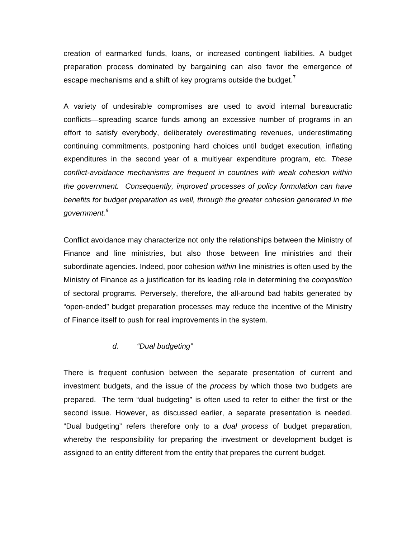creation of earmarked funds, loans, or increased contingent liabilities. A budget preparation process dominated by bargaining can also favor the emergence of escape mechanisms and a shift of key programs outside the budget. $\prime$ 

A variety of undesirable compromises are used to avoid internal bureaucratic conflicts—spreading scarce funds among an excessive number of programs in an effort to satisfy everybody, deliberately overestimating revenues, underestimating continuing commitments, postponing hard choices until budget execution, inflating expenditures in the second year of a multiyear expenditure program, etc. *These conflict-avoidance mechanisms are frequent in countries with weak cohesion within the government. Consequently, improved processes of policy formulation can have benefits for budget preparation as well, through the greater cohesion generated in the government.<sup>8</sup>*

Conflict avoidance may characterize not only the relationships between the Ministry of Finance and line ministries, but also those between line ministries and their subordinate agencies. Indeed, poor cohesion *within* line ministries is often used by the Ministry of Finance as a justification for its leading role in determining the *composition* of sectoral programs. Perversely, therefore, the all-around bad habits generated by "open-ended" budget preparation processes may reduce the incentive of the Ministry of Finance itself to push for real improvements in the system.

### *d. "Dual budgeting"*

There is frequent confusion between the separate presentation of current and investment budgets, and the issue of the *process* by which those two budgets are prepared. The term "dual budgeting" is often used to refer to either the first or the second issue. However, as discussed earlier, a separate presentation is needed. "Dual budgeting" refers therefore only to a *dual process* of budget preparation, whereby the responsibility for preparing the investment or development budget is assigned to an entity different from the entity that prepares the current budget.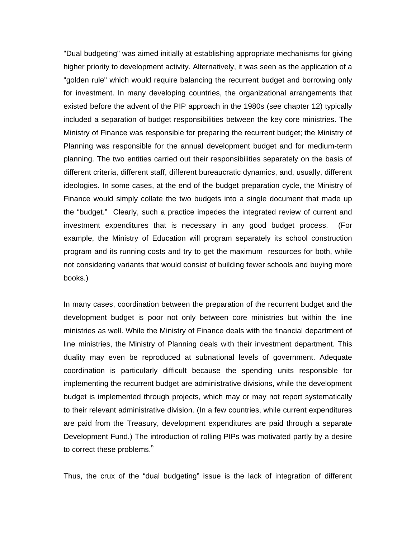"Dual budgeting" was aimed initially at establishing appropriate mechanisms for giving higher priority to development activity. Alternatively, it was seen as the application of a "golden rule" which would require balancing the recurrent budget and borrowing only for investment. In many developing countries, the organizational arrangements that existed before the advent of the PIP approach in the 1980s (see chapter 12) typically included a separation of budget responsibilities between the key core ministries. The Ministry of Finance was responsible for preparing the recurrent budget; the Ministry of Planning was responsible for the annual development budget and for medium-term planning. The two entities carried out their responsibilities separately on the basis of different criteria, different staff, different bureaucratic dynamics, and, usually, different ideologies. In some cases, at the end of the budget preparation cycle, the Ministry of Finance would simply collate the two budgets into a single document that made up the "budget." Clearly, such a practice impedes the integrated review of current and investment expenditures that is necessary in any good budget process. (For example, the Ministry of Education will program separately its school construction program and its running costs and try to get the maximum resources for both, while not considering variants that would consist of building fewer schools and buying more books.)

In many cases, coordination between the preparation of the recurrent budget and the development budget is poor not only between core ministries but within the line ministries as well. While the Ministry of Finance deals with the financial department of line ministries, the Ministry of Planning deals with their investment department. This duality may even be reproduced at subnational levels of government. Adequate coordination is particularly difficult because the spending units responsible for implementing the recurrent budget are administrative divisions, while the development budget is implemented through projects, which may or may not report systematically to their relevant administrative division. (In a few countries, while current expenditures are paid from the Treasury, development expenditures are paid through a separate Development Fund.) The introduction of rolling PIPs was motivated partly by a desire to correct these problems.<sup>9</sup>

Thus, the crux of the "dual budgeting" issue is the lack of integration of different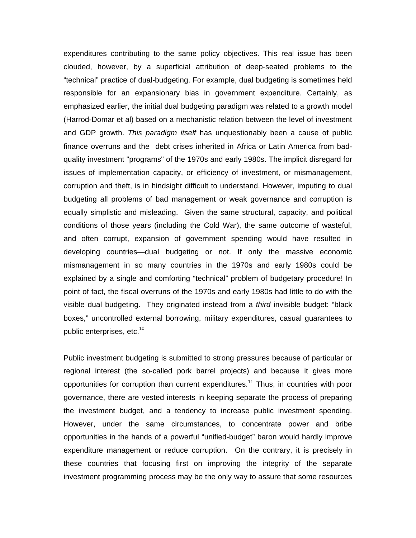expenditures contributing to the same policy objectives. This real issue has been clouded, however, by a superficial attribution of deep-seated problems to the "technical" practice of dual-budgeting. For example, dual budgeting is sometimes held responsible for an expansionary bias in government expenditure. Certainly, as emphasized earlier, the initial dual budgeting paradigm was related to a growth model (Harrod-Domar et al) based on a mechanistic relation between the level of investment and GDP growth. *This paradigm itself* has unquestionably been a cause of public finance overruns and the debt crises inherited in Africa or Latin America from badquality investment "programs" of the 1970s and early 1980s. The implicit disregard for issues of implementation capacity, or efficiency of investment, or mismanagement, corruption and theft, is in hindsight difficult to understand. However, imputing to dual budgeting all problems of bad management or weak governance and corruption is equally simplistic and misleading. Given the same structural, capacity, and political conditions of those years (including the Cold War), the same outcome of wasteful, and often corrupt, expansion of government spending would have resulted in developing countries—dual budgeting or not. If only the massive economic mismanagement in so many countries in the 1970s and early 1980s could be explained by a single and comforting "technical" problem of budgetary procedure! In point of fact, the fiscal overruns of the 1970s and early 1980s had little to do with the visible dual budgeting. They originated instead from a *third* invisible budget: "black boxes," uncontrolled external borrowing, military expenditures, casual guarantees to public enterprises, etc.<sup>10</sup>

Public investment budgeting is submitted to strong pressures because of particular or regional interest (the so-called pork barrel projects) and because it gives more opportunities for corruption than current expenditures.<sup>11</sup> Thus, in countries with poor governance, there are vested interests in keeping separate the process of preparing the investment budget, and a tendency to increase public investment spending. However, under the same circumstances, to concentrate power and bribe opportunities in the hands of a powerful "unified-budget" baron would hardly improve expenditure management or reduce corruption. On the contrary, it is precisely in these countries that focusing first on improving the integrity of the separate investment programming process may be the only way to assure that some resources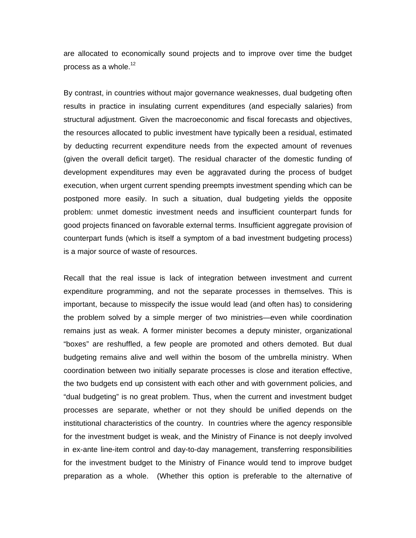are allocated to economically sound projects and to improve over time the budget process as a whole. $12$ 

By contrast, in countries without major governance weaknesses, dual budgeting often results in practice in insulating current expenditures (and especially salaries) from structural adjustment. Given the macroeconomic and fiscal forecasts and objectives, the resources allocated to public investment have typically been a residual, estimated by deducting recurrent expenditure needs from the expected amount of revenues (given the overall deficit target). The residual character of the domestic funding of development expenditures may even be aggravated during the process of budget execution, when urgent current spending preempts investment spending which can be postponed more easily. In such a situation, dual budgeting yields the opposite problem: unmet domestic investment needs and insufficient counterpart funds for good projects financed on favorable external terms. Insufficient aggregate provision of counterpart funds (which is itself a symptom of a bad investment budgeting process) is a major source of waste of resources.

Recall that the real issue is lack of integration between investment and current expenditure programming, and not the separate processes in themselves. This is important, because to misspecify the issue would lead (and often has) to considering the problem solved by a simple merger of two ministries—even while coordination remains just as weak. A former minister becomes a deputy minister, organizational "boxes" are reshuffled, a few people are promoted and others demoted. But dual budgeting remains alive and well within the bosom of the umbrella ministry. When coordination between two initially separate processes is close and iteration effective, the two budgets end up consistent with each other and with government policies, and "dual budgeting" is no great problem. Thus, when the current and investment budget processes are separate, whether or not they should be unified depends on the institutional characteristics of the country. In countries where the agency responsible for the investment budget is weak, and the Ministry of Finance is not deeply involved in ex-ante line-item control and day-to-day management, transferring responsibilities for the investment budget to the Ministry of Finance would tend to improve budget preparation as a whole. (Whether this option is preferable to the alternative of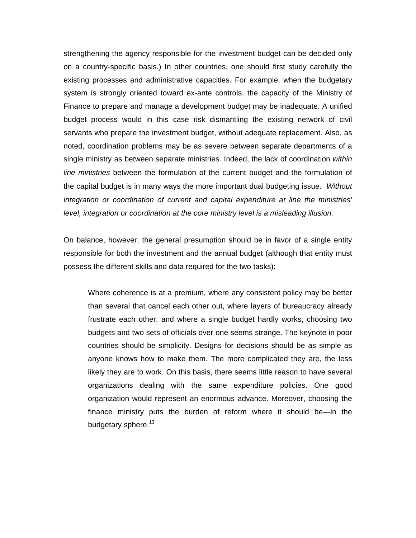strengthening the agency responsible for the investment budget can be decided only on a country-specific basis.) In other countries, one should first study carefully the existing processes and administrative capacities. For example, when the budgetary system is strongly oriented toward ex-ante controls, the capacity of the Ministry of Finance to prepare and manage a development budget may be inadequate. A unified budget process would in this case risk dismantling the existing network of civil servants who prepare the investment budget, without adequate replacement. Also, as noted, coordination problems may be as severe between separate departments of a single ministry as between separate ministries. Indeed, the lack of coordination *within line ministries* between the formulation of the current budget and the formulation of the capital budget is in many ways the more important dual budgeting issue. *Without integration or coordination of current and capital expenditure at line the ministries' level, integration or coordination at the core ministry level is a misleading illusion.*

On balance, however, the general presumption should be in favor of a single entity responsible for both the investment and the annual budget (although that entity must possess the different skills and data required for the two tasks):

Where coherence is at a premium, where any consistent policy may be better than several that cancel each other out, where layers of bureaucracy already frustrate each other, and where a single budget hardly works, choosing two budgets and two sets of officials over one seems strange. The keynote in poor countries should be simplicity. Designs for decisions should be as simple as anyone knows how to make them. The more complicated they are, the less likely they are to work. On this basis, there seems little reason to have several organizations dealing with the same expenditure policies. One good organization would represent an enormous advance. Moreover, choosing the finance ministry puts the burden of reform where it should be—in the budgetary sphere.<sup>13</sup>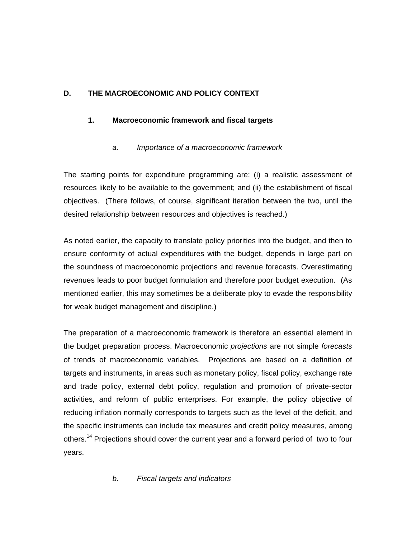# **D. THE MACROECONOMIC AND POLICY CONTEXT**

# **1. Macroeconomic framework and fiscal targets**

# *a. Importance of a macroeconomic framework*

The starting points for expenditure programming are: (i) a realistic assessment of resources likely to be available to the government; and (ii) the establishment of fiscal objectives. (There follows, of course, significant iteration between the two, until the desired relationship between resources and objectives is reached.)

As noted earlier, the capacity to translate policy priorities into the budget, and then to ensure conformity of actual expenditures with the budget, depends in large part on the soundness of macroeconomic projections and revenue forecasts. Overestimating revenues leads to poor budget formulation and therefore poor budget execution. (As mentioned earlier, this may sometimes be a deliberate ploy to evade the responsibility for weak budget management and discipline.)

The preparation of a macroeconomic framework is therefore an essential element in the budget preparation process. Macroeconomic *projections* are not simple *forecasts* of trends of macroeconomic variables. Projections are based on a definition of targets and instruments, in areas such as monetary policy, fiscal policy, exchange rate and trade policy, external debt policy, regulation and promotion of private-sector activities, and reform of public enterprises. For example, the policy objective of reducing inflation normally corresponds to targets such as the level of the deficit, and the specific instruments can include tax measures and credit policy measures, among others.<sup>14</sup> Projections should cover the current year and a forward period of two to four years.

# *b. Fiscal targets and indicators*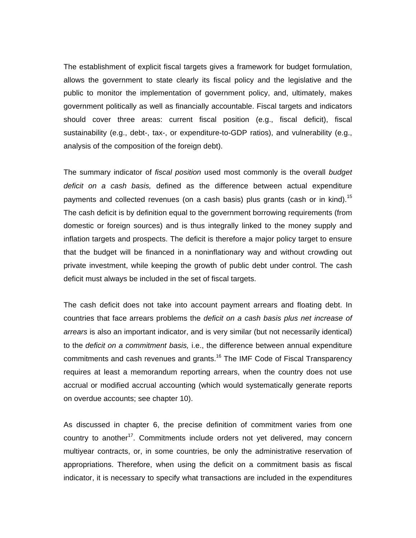The establishment of explicit fiscal targets gives a framework for budget formulation, allows the government to state clearly its fiscal policy and the legislative and the public to monitor the implementation of government policy, and, ultimately, makes government politically as well as financially accountable. Fiscal targets and indicators should cover three areas: current fiscal position (e.g., fiscal deficit), fiscal sustainability (e.g., debt-, tax-, or expenditure-to-GDP ratios), and vulnerability (e.g., analysis of the composition of the foreign debt).

The summary indicator of *fiscal position* used most commonly is the overall *budget deficit on a cash basis,* defined as the difference between actual expenditure payments and collected revenues (on a cash basis) plus grants (cash or in kind).<sup>15</sup> The cash deficit is by definition equal to the government borrowing requirements (from domestic or foreign sources) and is thus integrally linked to the money supply and inflation targets and prospects. The deficit is therefore a major policy target to ensure that the budget will be financed in a noninflationary way and without crowding out private investment, while keeping the growth of public debt under control. The cash deficit must always be included in the set of fiscal targets.

The cash deficit does not take into account payment arrears and floating debt. In countries that face arrears problems the *deficit on a cash basis plus net increase of arrears* is also an important indicator, and is very similar (but not necessarily identical) to the *deficit on a commitment basis,* i.e., the difference between annual expenditure commitments and cash revenues and grants.<sup>16</sup> The IMF Code of Fiscal Transparency requires at least a memorandum reporting arrears, when the country does not use accrual or modified accrual accounting (which would systematically generate reports on overdue accounts; see chapter 10).

As discussed in chapter 6, the precise definition of commitment varies from one country to another<sup>17</sup>. Commitments include orders not yet delivered, may concern multiyear contracts, or, in some countries, be only the administrative reservation of appropriations. Therefore, when using the deficit on a commitment basis as fiscal indicator, it is necessary to specify what transactions are included in the expenditures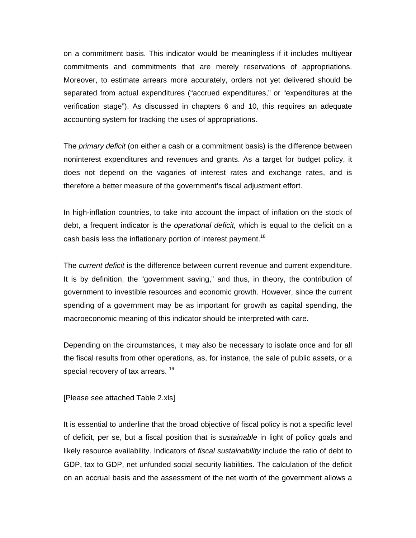on a commitment basis. This indicator would be meaningless if it includes multiyear commitments and commitments that are merely reservations of appropriations. Moreover, to estimate arrears more accurately, orders not yet delivered should be separated from actual expenditures ("accrued expenditures," or "expenditures at the verification stage"). As discussed in chapters 6 and 10, this requires an adequate accounting system for tracking the uses of appropriations.

The *primary deficit* (on either a cash or a commitment basis) is the difference between noninterest expenditures and revenues and grants. As a target for budget policy, it does not depend on the vagaries of interest rates and exchange rates, and is therefore a better measure of the government's fiscal adjustment effort.

In high-inflation countries, to take into account the impact of inflation on the stock of debt, a frequent indicator is the *operational deficit,* which is equal to the deficit on a cash basis less the inflationary portion of interest payment.<sup>18</sup>

The *current deficit* is the difference between current revenue and current expenditure. It is by definition, the "government saving," and thus, in theory, the contribution of government to investible resources and economic growth. However, since the current spending of a government may be as important for growth as capital spending, the macroeconomic meaning of this indicator should be interpreted with care.

Depending on the circumstances, it may also be necessary to isolate once and for all the fiscal results from other operations, as, for instance, the sale of public assets, or a special recovery of tax arrears.<sup>19</sup>

[Please see attached Table 2.xls]

It is essential to underline that the broad objective of fiscal policy is not a specific level of deficit, per se, but a fiscal position that is *sustainable* in light of policy goals and likely resource availability. Indicators of *fiscal sustainability* include the ratio of debt to GDP, tax to GDP, net unfunded social security liabilities. The calculation of the deficit on an accrual basis and the assessment of the net worth of the government allows a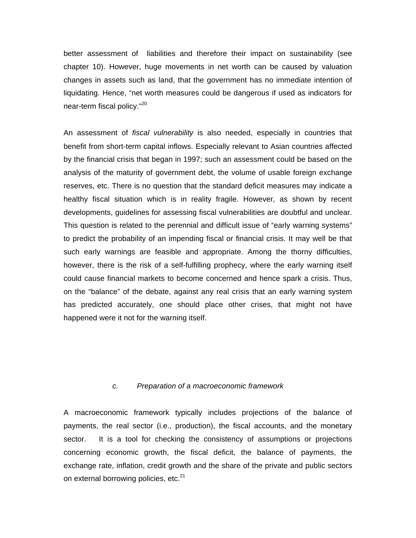better assessment of liabilities and therefore their impact on sustainability (see chapter 10). However, huge movements in net worth can be caused by valuation changes in assets such as land, that the government has no immediate intention of liquidating. Hence, "net worth measures could be dangerous if used as indicators for near-term fiscal policy."<sup>20</sup>

An assessment of *fiscal vulnerability* is also needed, especially in countries that benefit from short-term capital inflows. Especially relevant to Asian countries affected by the financial crisis that began in 1997; such an assessment could be based on the analysis of the maturity of government debt, the volume of usable foreign exchange reserves, etc. There is no question that the standard deficit measures may indicate a healthy fiscal situation which is in reality fragile. However, as shown by recent developments, guidelines for assessing fiscal vulnerabilities are doubtful and unclear. This question is related to the perennial and difficult issue of "early warning systems" to predict the probability of an impending fiscal or financial crisis. It may well be that such early warnings are feasible and appropriate. Among the thorny difficulties, however, there is the risk of a self-fulfilling prophecy, where the early warning itself could cause financial markets to become concerned and hence spark a crisis. Thus, on the "balance" of the debate, against any real crisis that an early warning system has predicted accurately, one should place other crises, that might not have happened were it not for the warning itself.

#### *c. Preparation of a macroeconomic framework*

A macroeconomic framework typically includes projections of the balance of payments, the real sector (i.e., production), the fiscal accounts, and the monetary sector. It is a tool for checking the consistency of assumptions or projections concerning economic growth, the fiscal deficit, the balance of payments, the exchange rate, inflation, credit growth and the share of the private and public sectors on external borrowing policies, etc.<sup>21</sup>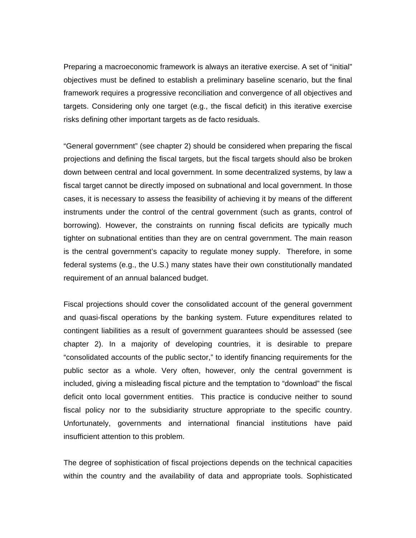Preparing a macroeconomic framework is always an iterative exercise. A set of "initial" objectives must be defined to establish a preliminary baseline scenario, but the final framework requires a progressive reconciliation and convergence of all objectives and targets. Considering only one target (e.g., the fiscal deficit) in this iterative exercise risks defining other important targets as de facto residuals.

"General government" (see chapter 2) should be considered when preparing the fiscal projections and defining the fiscal targets, but the fiscal targets should also be broken down between central and local government. In some decentralized systems, by law a fiscal target cannot be directly imposed on subnational and local government. In those cases, it is necessary to assess the feasibility of achieving it by means of the different instruments under the control of the central government (such as grants, control of borrowing). However, the constraints on running fiscal deficits are typically much tighter on subnational entities than they are on central government. The main reason is the central government's capacity to regulate money supply. Therefore, in some federal systems (e.g., the U.S.) many states have their own constitutionally mandated requirement of an annual balanced budget.

Fiscal projections should cover the consolidated account of the general government and quasi-fiscal operations by the banking system. Future expenditures related to contingent liabilities as a result of government guarantees should be assessed (see chapter 2). In a majority of developing countries, it is desirable to prepare "consolidated accounts of the public sector," to identify financing requirements for the public sector as a whole. Very often, however, only the central government is included, giving a misleading fiscal picture and the temptation to "download" the fiscal deficit onto local government entities. This practice is conducive neither to sound fiscal policy nor to the subsidiarity structure appropriate to the specific country. Unfortunately, governments and international financial institutions have paid insufficient attention to this problem.

The degree of sophistication of fiscal projections depends on the technical capacities within the country and the availability of data and appropriate tools. Sophisticated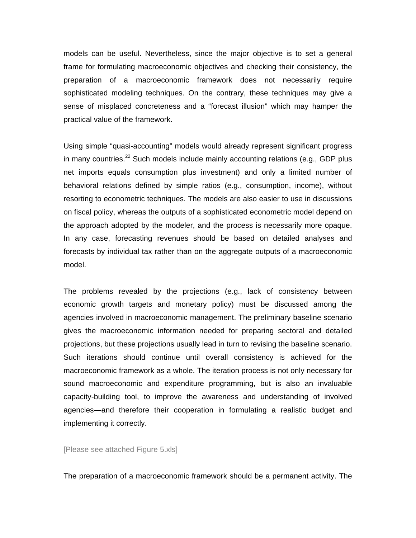models can be useful. Nevertheless, since the major objective is to set a general frame for formulating macroeconomic objectives and checking their consistency, the preparation of a macroeconomic framework does not necessarily require sophisticated modeling techniques. On the contrary, these techniques may give a sense of misplaced concreteness and a "forecast illusion" which may hamper the practical value of the framework.

Using simple "quasi-accounting" models would already represent significant progress in many countries.<sup>22</sup> Such models include mainly accounting relations (e.g., GDP plus net imports equals consumption plus investment) and only a limited number of behavioral relations defined by simple ratios (e.g., consumption, income), without resorting to econometric techniques. The models are also easier to use in discussions on fiscal policy, whereas the outputs of a sophisticated econometric model depend on the approach adopted by the modeler, and the process is necessarily more opaque. In any case, forecasting revenues should be based on detailed analyses and forecasts by individual tax rather than on the aggregate outputs of a macroeconomic model.

The problems revealed by the projections (e.g., lack of consistency between economic growth targets and monetary policy) must be discussed among the agencies involved in macroeconomic management. The preliminary baseline scenario gives the macroeconomic information needed for preparing sectoral and detailed projections, but these projections usually lead in turn to revising the baseline scenario. Such iterations should continue until overall consistency is achieved for the macroeconomic framework as a whole. The iteration process is not only necessary for sound macroeconomic and expenditure programming, but is also an invaluable capacity-building tool, to improve the awareness and understanding of involved agencies—and therefore their cooperation in formulating a realistic budget and implementing it correctly.

[Please see attached Figure 5.xls]

The preparation of a macroeconomic framework should be a permanent activity. The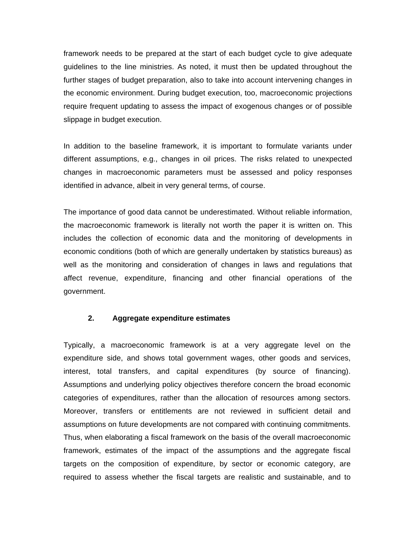framework needs to be prepared at the start of each budget cycle to give adequate guidelines to the line ministries. As noted, it must then be updated throughout the further stages of budget preparation, also to take into account intervening changes in the economic environment. During budget execution, too, macroeconomic projections require frequent updating to assess the impact of exogenous changes or of possible slippage in budget execution.

In addition to the baseline framework, it is important to formulate variants under different assumptions, e.g., changes in oil prices. The risks related to unexpected changes in macroeconomic parameters must be assessed and policy responses identified in advance, albeit in very general terms, of course.

The importance of good data cannot be underestimated. Without reliable information, the macroeconomic framework is literally not worth the paper it is written on. This includes the collection of economic data and the monitoring of developments in economic conditions (both of which are generally undertaken by statistics bureaus) as well as the monitoring and consideration of changes in laws and regulations that affect revenue, expenditure, financing and other financial operations of the government.

### **2. Aggregate expenditure estimates**

Typically, a macroeconomic framework is at a very aggregate level on the expenditure side, and shows total government wages, other goods and services, interest, total transfers, and capital expenditures (by source of financing). Assumptions and underlying policy objectives therefore concern the broad economic categories of expenditures, rather than the allocation of resources among sectors. Moreover, transfers or entitlements are not reviewed in sufficient detail and assumptions on future developments are not compared with continuing commitments. Thus, when elaborating a fiscal framework on the basis of the overall macroeconomic framework, estimates of the impact of the assumptions and the aggregate fiscal targets on the composition of expenditure, by sector or economic category, are required to assess whether the fiscal targets are realistic and sustainable, and to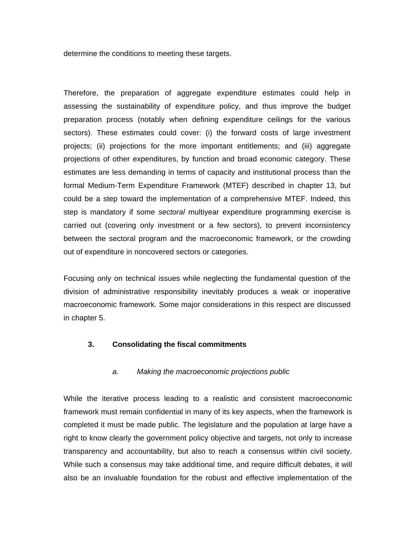determine the conditions to meeting these targets.

Therefore, the preparation of aggregate expenditure estimates could help in assessing the sustainability of expenditure policy, and thus improve the budget preparation process (notably when defining expenditure ceilings for the various sectors). These estimates could cover: (i) the forward costs of large investment projects; (ii) projections for the more important entitlements; and (iii) aggregate projections of other expenditures, by function and broad economic category. These estimates are less demanding in terms of capacity and institutional process than the formal Medium-Term Expenditure Framework (MTEF) described in chapter 13, but could be a step toward the implementation of a comprehensive MTEF. Indeed, this step is mandatory if some *sectoral* multiyear expenditure programming exercise is carried out (covering only investment or a few sectors), to prevent inconsistency between the sectoral program and the macroeconomic framework, or the crowding out of expenditure in noncovered sectors or categories.

Focusing only on technical issues while neglecting the fundamental question of the division of administrative responsibility inevitably produces a weak or inoperative macroeconomic framework. Some major considerations in this respect are discussed in chapter 5.

### **3. Consolidating the fiscal commitments**

#### *a. Making the macroeconomic projections public*

While the iterative process leading to a realistic and consistent macroeconomic framework must remain confidential in many of its key aspects, when the framework is completed it must be made public. The legislature and the population at large have a right to know clearly the government policy objective and targets, not only to increase transparency and accountability, but also to reach a consensus within civil society. While such a consensus may take additional time, and require difficult debates, it will also be an invaluable foundation for the robust and effective implementation of the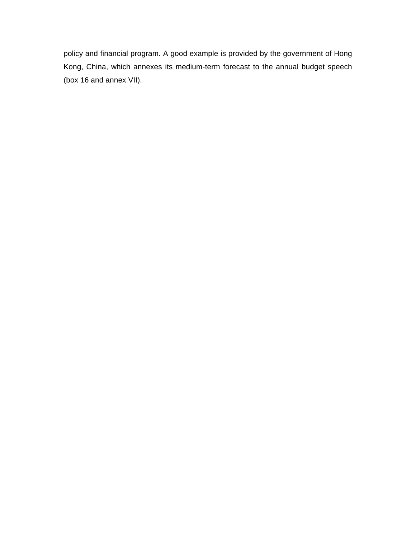policy and financial program. A good example is provided by the government of Hong Kong, China, which annexes its medium-term forecast to the annual budget speech (box 16 and annex VII).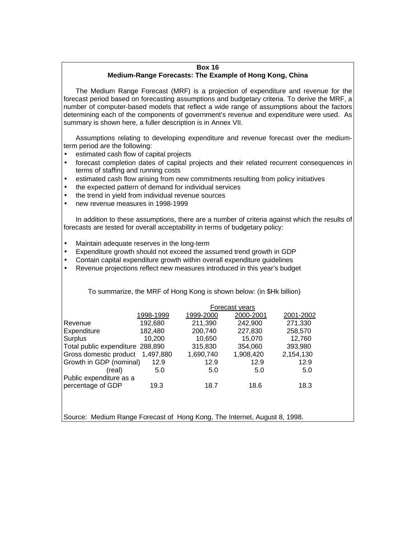### **Box 16 Medium-Range Forecasts: The Example of Hong Kong, China**

The Medium Range Forecast (MRF) is a projection of expenditure and revenue for the forecast period based on forecasting assumptions and budgetary criteria. To derive the MRF, a number of computer-based models that reflect a wide range of assumptions about the factors determining each of the components of government's revenue and expenditure were used. As summary is shown here, a fuller description is in Annex VII.

Assumptions relating to developing expenditure and revenue forecast over the mediumterm period are the following:

- estimated cash flow of capital projects
- forecast completion dates of capital projects and their related recurrent consequences in terms of staffing and running costs
- estimated cash flow arising from new commitments resulting from policy initiatives
- the expected pattern of demand for individual services
- the trend in vield from individual revenue sources
- new revenue measures in 1998-1999

In addition to these assumptions, there are a number of criteria against which the results of forecasts are tested for overall acceptability in terms of budgetary policy:

- Maintain adequate reserves in the long-term
- Expenditure growth should not exceed the assumed trend growth in GDP
- Contain capital expenditure growth within overall expenditure guidelines
- Revenue projections reflect new measures introduced in this year's budget

To summarize, the MRF of Hong Kong is shown below: (in \$Hk billion)

|                                  | Forecast years |           |           |           |
|----------------------------------|----------------|-----------|-----------|-----------|
|                                  | 1998-1999      | 1999-2000 | 2000-2001 | 2001-2002 |
| Revenue                          | 192,680        | 211,390   | 242,900   | 271,330   |
| Expenditure                      | 182,480        | 200,740   | 227,830   | 258,570   |
| Surplus                          | 10,200         | 10,650    | 15.070    | 12,760    |
| Total public expenditure 288,890 |                | 315,830   | 354,060   | 393,980   |
| Gross domestic product           | 1,497,880      | 1,690,740 | 1,908,420 | 2,154,130 |
| Growth in GDP (nominal)          | 12.9           | 12.9      | 12.9      | 12.9      |
| (real)                           | 5.0            | 5.0       | 5.0       | 5.0       |
| Public expenditure as a          |                |           |           |           |
| percentage of GDP                | 19.3           | 18.7      | 18.6      | 18.3      |
|                                  |                |           |           |           |

Source: Medium Range Forecast of Hong Kong, The Internet, August 8, 1998.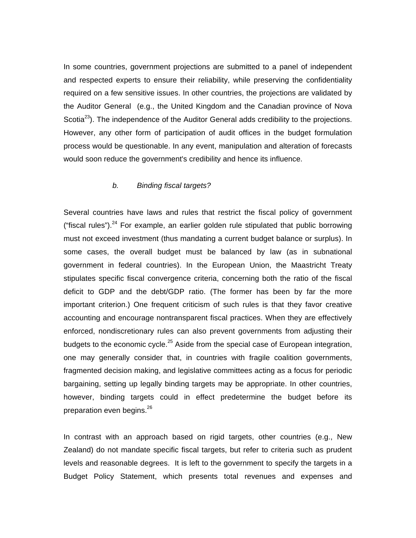In some countries, government projections are submitted to a panel of independent and respected experts to ensure their reliability, while preserving the confidentiality required on a few sensitive issues. In other countries, the projections are validated by the Auditor General (e.g., the United Kingdom and the Canadian province of Nova Scotia<sup>23</sup>). The independence of the Auditor General adds credibility to the projections. However, any other form of participation of audit offices in the budget formulation process would be questionable. In any event, manipulation and alteration of forecasts would soon reduce the government's credibility and hence its influence.

### *b. Binding fiscal targets?*

Several countries have laws and rules that restrict the fiscal policy of government ("fiscal rules"). $24$  For example, an earlier golden rule stipulated that public borrowing must not exceed investment (thus mandating a current budget balance or surplus). In some cases, the overall budget must be balanced by law (as in subnational government in federal countries). In the European Union, the Maastricht Treaty stipulates specific fiscal convergence criteria, concerning both the ratio of the fiscal deficit to GDP and the debt/GDP ratio. (The former has been by far the more important criterion.) One frequent criticism of such rules is that they favor creative accounting and encourage nontransparent fiscal practices. When they are effectively enforced, nondiscretionary rules can also prevent governments from adjusting their budgets to the economic cycle. $25$  Aside from the special case of European integration, one may generally consider that, in countries with fragile coalition governments, fragmented decision making, and legislative committees acting as a focus for periodic bargaining, setting up legally binding targets may be appropriate. In other countries, however, binding targets could in effect predetermine the budget before its preparation even begins.<sup>26</sup>

In contrast with an approach based on rigid targets, other countries (e.g., New Zealand) do not mandate specific fiscal targets, but refer to criteria such as prudent levels and reasonable degrees. It is left to the government to specify the targets in a Budget Policy Statement, which presents total revenues and expenses and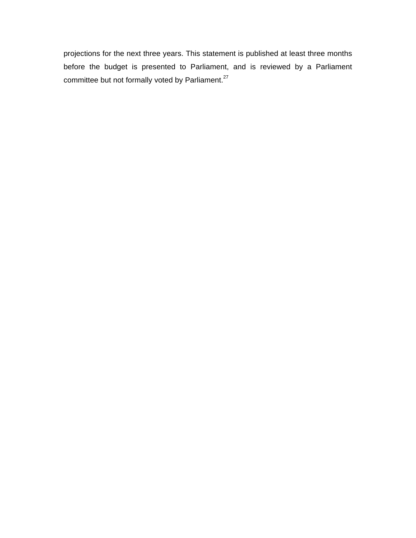projections for the next three years. This statement is published at least three months before the budget is presented to Parliament, and is reviewed by a Parliament committee but not formally voted by Parliament.<sup>27</sup>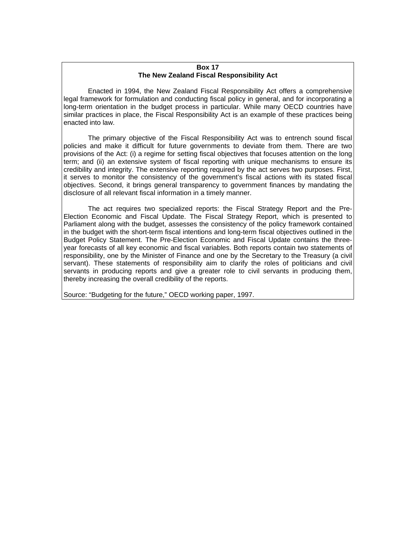#### **Box 17 The New Zealand Fiscal Responsibility Act**

Enacted in 1994, the New Zealand Fiscal Responsibility Act offers a comprehensive legal framework for formulation and conducting fiscal policy in general, and for incorporating a long-term orientation in the budget process in particular. While many OECD countries have similar practices in place, the Fiscal Responsibility Act is an example of these practices being enacted into law.

The primary objective of the Fiscal Responsibility Act was to entrench sound fiscal policies and make it difficult for future governments to deviate from them. There are two provisions of the Act: (i) a regime for setting fiscal objectives that focuses attention on the long term; and (ii) an extensive system of fiscal reporting with unique mechanisms to ensure its credibility and integrity. The extensive reporting required by the act serves two purposes. First, it serves to monitor the consistency of the government's fiscal actions with its stated fiscal objectives. Second, it brings general transparency to government finances by mandating the disclosure of all relevant fiscal information in a timely manner.

The act requires two specialized reports: the Fiscal Strategy Report and the Pre-Election Economic and Fiscal Update. The Fiscal Strategy Report, which is presented to Parliament along with the budget, assesses the consistency of the policy framework contained in the budget with the short-term fiscal intentions and long-term fiscal objectives outlined in the Budget Policy Statement. The Pre-Election Economic and Fiscal Update contains the threeyear forecasts of all key economic and fiscal variables. Both reports contain two statements of responsibility, one by the Minister of Finance and one by the Secretary to the Treasury (a civil servant). These statements of responsibility aim to clarify the roles of politicians and civil servants in producing reports and give a greater role to civil servants in producing them, thereby increasing the overall credibility of the reports.

Source: "Budgeting for the future," OECD working paper, 1997.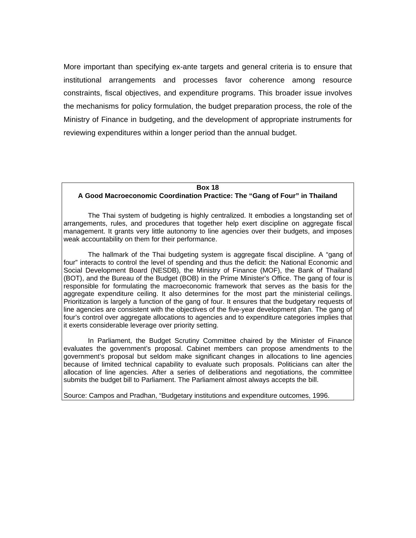More important than specifying ex-ante targets and general criteria is to ensure that institutional arrangements and processes favor coherence among resource constraints, fiscal objectives, and expenditure programs. This broader issue involves the mechanisms for policy formulation, the budget preparation process, the role of the Ministry of Finance in budgeting, and the development of appropriate instruments for reviewing expenditures within a longer period than the annual budget.

#### **Box 18**

#### **A Good Macroeconomic Coordination Practice: The "Gang of Four" in Thailand**

The Thai system of budgeting is highly centralized. It embodies a longstanding set of arrangements, rules, and procedures that together help exert discipline on aggregate fiscal management. It grants very little autonomy to line agencies over their budgets, and imposes weak accountability on them for their performance.

The hallmark of the Thai budgeting system is aggregate fiscal discipline. A "gang of four" interacts to control the level of spending and thus the deficit: the National Economic and Social Development Board (NESDB), the Ministry of Finance (MOF), the Bank of Thailand (BOT), and the Bureau of the Budget (BOB) in the Prime Minister's Office. The gang of four is responsible for formulating the macroeconomic framework that serves as the basis for the aggregate expenditure ceiling. It also determines for the most part the ministerial ceilings. Prioritization is largely a function of the gang of four. It ensures that the budgetary requests of line agencies are consistent with the objectives of the five-year development plan. The gang of four's control over aggregate allocations to agencies and to expenditure categories implies that it exerts considerable leverage over priority setting.

In Parliament, the Budget Scrutiny Committee chaired by the Minister of Finance evaluates the government's proposal. Cabinet members can propose amendments to the government's proposal but seldom make significant changes in allocations to line agencies because of limited technical capability to evaluate such proposals. Politicians can alter the allocation of line agencies. After a series of deliberations and negotiations, the committee submits the budget bill to Parliament. The Parliament almost always accepts the bill.

Source: Campos and Pradhan, "Budgetary institutions and expenditure outcomes, 1996.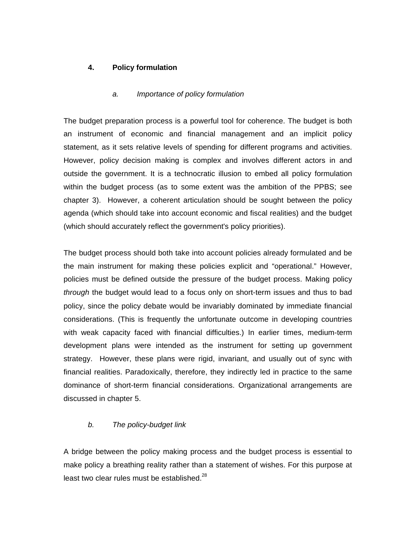## **4. Policy formulation**

#### *a. Importance of policy formulation*

The budget preparation process is a powerful tool for coherence. The budget is both an instrument of economic and financial management and an implicit policy statement, as it sets relative levels of spending for different programs and activities. However, policy decision making is complex and involves different actors in and outside the government. It is a technocratic illusion to embed all policy formulation within the budget process (as to some extent was the ambition of the PPBS; see chapter 3). However, a coherent articulation should be sought between the policy agenda (which should take into account economic and fiscal realities) and the budget (which should accurately reflect the government's policy priorities).

The budget process should both take into account policies already formulated and be the main instrument for making these policies explicit and "operational." However, policies must be defined outside the pressure of the budget process. Making policy *through* the budget would lead to a focus only on short-term issues and thus to bad policy, since the policy debate would be invariably dominated by immediate financial considerations. (This is frequently the unfortunate outcome in developing countries with weak capacity faced with financial difficulties.) In earlier times, medium-term development plans were intended as the instrument for setting up government strategy. However, these plans were rigid, invariant, and usually out of sync with financial realities. Paradoxically, therefore, they indirectly led in practice to the same dominance of short-term financial considerations. Organizational arrangements are discussed in chapter 5.

### *b. The policy-budget link*

A bridge between the policy making process and the budget process is essential to make policy a breathing reality rather than a statement of wishes. For this purpose at least two clear rules must be established. $^{28}$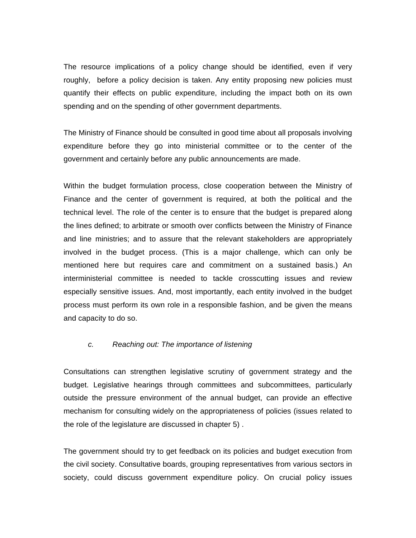The resource implications of a policy change should be identified, even if very roughly, before a policy decision is taken. Any entity proposing new policies must quantify their effects on public expenditure, including the impact both on its own spending and on the spending of other government departments.

The Ministry of Finance should be consulted in good time about all proposals involving expenditure before they go into ministerial committee or to the center of the government and certainly before any public announcements are made.

Within the budget formulation process, close cooperation between the Ministry of Finance and the center of government is required, at both the political and the technical level. The role of the center is to ensure that the budget is prepared along the lines defined; to arbitrate or smooth over conflicts between the Ministry of Finance and line ministries; and to assure that the relevant stakeholders are appropriately involved in the budget process. (This is a major challenge, which can only be mentioned here but requires care and commitment on a sustained basis.) An interministerial committee is needed to tackle crosscutting issues and review especially sensitive issues. And, most importantly, each entity involved in the budget process must perform its own role in a responsible fashion, and be given the means and capacity to do so.

#### *c. Reaching out: The importance of listening*

Consultations can strengthen legislative scrutiny of government strategy and the budget. Legislative hearings through committees and subcommittees, particularly outside the pressure environment of the annual budget, can provide an effective mechanism for consulting widely on the appropriateness of policies (issues related to the role of the legislature are discussed in chapter 5) .

The government should try to get feedback on its policies and budget execution from the civil society. Consultative boards, grouping representatives from various sectors in society, could discuss government expenditure policy. On crucial policy issues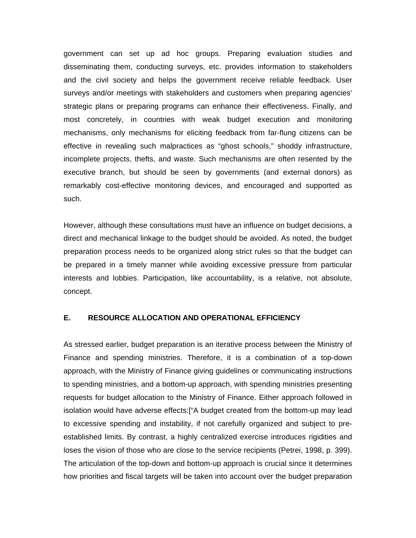government can set up ad hoc groups. Preparing evaluation studies and disseminating them, conducting surveys, etc. provides information to stakeholders and the civil society and helps the government receive reliable feedback. User surveys and/or meetings with stakeholders and customers when preparing agencies' strategic plans or preparing programs can enhance their effectiveness. Finally, and most concretely, in countries with weak budget execution and monitoring mechanisms, only mechanisms for eliciting feedback from far-flung citizens can be effective in revealing such malpractices as "ghost schools," shoddy infrastructure, incomplete projects, thefts, and waste. Such mechanisms are often resented by the executive branch, but should be seen by governments (and external donors) as remarkably cost-effective monitoring devices, and encouraged and supported as such.

However, although these consultations must have an influence on budget decisions, a direct and mechanical linkage to the budget should be avoided. As noted, the budget preparation process needs to be organized along strict rules so that the budget can be prepared in a timely manner while avoiding excessive pressure from particular interests and lobbies. Participation, like accountability, is a relative, not absolute, concept.

## **E. RESOURCE ALLOCATION AND OPERATIONAL EFFICIENCY**

As stressed earlier, budget preparation is an iterative process between the Ministry of Finance and spending ministries. Therefore, it is a combination of a top-down approach, with the Ministry of Finance giving guidelines or communicating instructions to spending ministries, and a bottom-up approach, with spending ministries presenting requests for budget allocation to the Ministry of Finance. Either approach followed in isolation would have adverse effects:["A budget created from the bottom-up may lead to excessive spending and instability, if not carefully organized and subject to preestablished limits. By contrast, a highly centralized exercise introduces rigidities and loses the vision of those who are close to the service recipients (Petrei, 1998, p. 399). The articulation of the top-down and bottom-up approach is crucial since it determines how priorities and fiscal targets will be taken into account over the budget preparation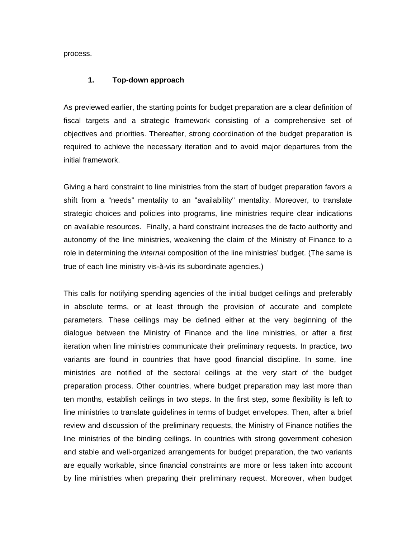process.

#### **1. Top-down approach**

As previewed earlier, the starting points for budget preparation are a clear definition of fiscal targets and a strategic framework consisting of a comprehensive set of objectives and priorities. Thereafter, strong coordination of the budget preparation is required to achieve the necessary iteration and to avoid major departures from the initial framework.

Giving a hard constraint to line ministries from the start of budget preparation favors a shift from a "needs" mentality to an "availability" mentality. Moreover, to translate strategic choices and policies into programs, line ministries require clear indications on available resources. Finally, a hard constraint increases the de facto authority and autonomy of the line ministries, weakening the claim of the Ministry of Finance to a role in determining the *internal* composition of the line ministries' budget. (The same is true of each line ministry vis-à-vis its subordinate agencies.)

This calls for notifying spending agencies of the initial budget ceilings and preferably in absolute terms, or at least through the provision of accurate and complete parameters. These ceilings may be defined either at the very beginning of the dialogue between the Ministry of Finance and the line ministries, or after a first iteration when line ministries communicate their preliminary requests. In practice, two variants are found in countries that have good financial discipline. In some, line ministries are notified of the sectoral ceilings at the very start of the budget preparation process. Other countries, where budget preparation may last more than ten months, establish ceilings in two steps. In the first step, some flexibility is left to line ministries to translate guidelines in terms of budget envelopes. Then, after a brief review and discussion of the preliminary requests, the Ministry of Finance notifies the line ministries of the binding ceilings. In countries with strong government cohesion and stable and well-organized arrangements for budget preparation, the two variants are equally workable, since financial constraints are more or less taken into account by line ministries when preparing their preliminary request. Moreover, when budget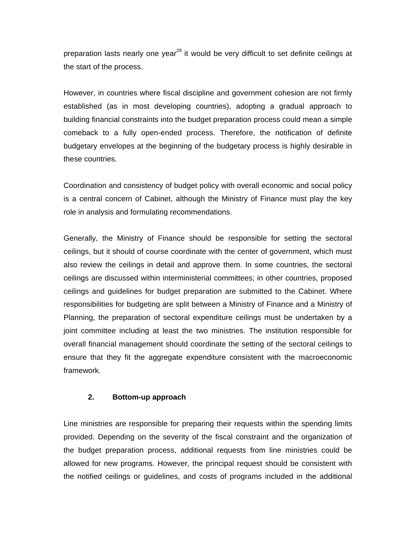preparation lasts nearly one year<sup>29</sup> it would be very difficult to set definite ceilings at the start of the process.

However, in countries where fiscal discipline and government cohesion are not firmly established (as in most developing countries), adopting a gradual approach to building financial constraints into the budget preparation process could mean a simple comeback to a fully open-ended process. Therefore, the notification of definite budgetary envelopes at the beginning of the budgetary process is highly desirable in these countries.

Coordination and consistency of budget policy with overall economic and social policy is a central concern of Cabinet, although the Ministry of Finance must play the key role in analysis and formulating recommendations.

Generally, the Ministry of Finance should be responsible for setting the sectoral ceilings, but it should of course coordinate with the center of government, which must also review the ceilings in detail and approve them. In some countries, the sectoral ceilings are discussed within interministerial committees; in other countries, proposed ceilings and guidelines for budget preparation are submitted to the Cabinet. Where responsibilities for budgeting are split between a Ministry of Finance and a Ministry of Planning, the preparation of sectoral expenditure ceilings must be undertaken by a joint committee including at least the two ministries. The institution responsible for overall financial management should coordinate the setting of the sectoral ceilings to ensure that they fit the aggregate expenditure consistent with the macroeconomic framework.

### **2. Bottom-up approach**

Line ministries are responsible for preparing their requests within the spending limits provided. Depending on the severity of the fiscal constraint and the organization of the budget preparation process, additional requests from line ministries could be allowed for new programs. However, the principal request should be consistent with the notified ceilings or guidelines, and costs of programs included in the additional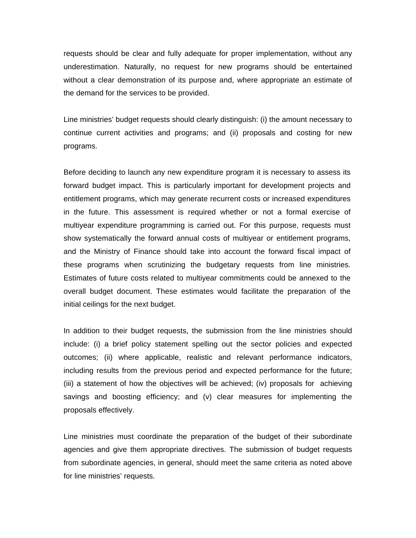requests should be clear and fully adequate for proper implementation, without any underestimation. Naturally, no request for new programs should be entertained without a clear demonstration of its purpose and, where appropriate an estimate of the demand for the services to be provided.

Line ministries' budget requests should clearly distinguish: (i) the amount necessary to continue current activities and programs; and (ii) proposals and costing for new programs.

Before deciding to launch any new expenditure program it is necessary to assess its forward budget impact. This is particularly important for development projects and entitlement programs, which may generate recurrent costs or increased expenditures in the future. This assessment is required whether or not a formal exercise of multiyear expenditure programming is carried out. For this purpose, requests must show systematically the forward annual costs of multiyear or entitlement programs, and the Ministry of Finance should take into account the forward fiscal impact of these programs when scrutinizing the budgetary requests from line ministries. Estimates of future costs related to multiyear commitments could be annexed to the overall budget document. These estimates would facilitate the preparation of the initial ceilings for the next budget.

In addition to their budget requests, the submission from the line ministries should include: (i) a brief policy statement spelling out the sector policies and expected outcomes; (ii) where applicable, realistic and relevant performance indicators, including results from the previous period and expected performance for the future; (iii) a statement of how the objectives will be achieved; (iv) proposals for achieving savings and boosting efficiency; and (v) clear measures for implementing the proposals effectively.

Line ministries must coordinate the preparation of the budget of their subordinate agencies and give them appropriate directives. The submission of budget requests from subordinate agencies, in general, should meet the same criteria as noted above for line ministries' requests.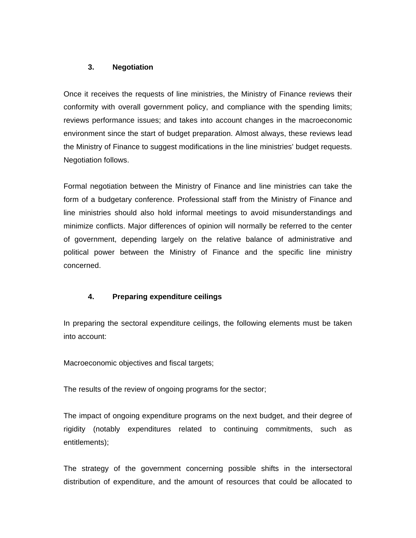## **3. Negotiation**

Once it receives the requests of line ministries, the Ministry of Finance reviews their conformity with overall government policy, and compliance with the spending limits; reviews performance issues; and takes into account changes in the macroeconomic environment since the start of budget preparation. Almost always, these reviews lead the Ministry of Finance to suggest modifications in the line ministries' budget requests. Negotiation follows.

Formal negotiation between the Ministry of Finance and line ministries can take the form of a budgetary conference. Professional staff from the Ministry of Finance and line ministries should also hold informal meetings to avoid misunderstandings and minimize conflicts. Major differences of opinion will normally be referred to the center of government, depending largely on the relative balance of administrative and political power between the Ministry of Finance and the specific line ministry concerned.

## **4. Preparing expenditure ceilings**

In preparing the sectoral expenditure ceilings, the following elements must be taken into account:

Macroeconomic objectives and fiscal targets;

The results of the review of ongoing programs for the sector;

The impact of ongoing expenditure programs on the next budget, and their degree of rigidity (notably expenditures related to continuing commitments, such as entitlements);

The strategy of the government concerning possible shifts in the intersectoral distribution of expenditure, and the amount of resources that could be allocated to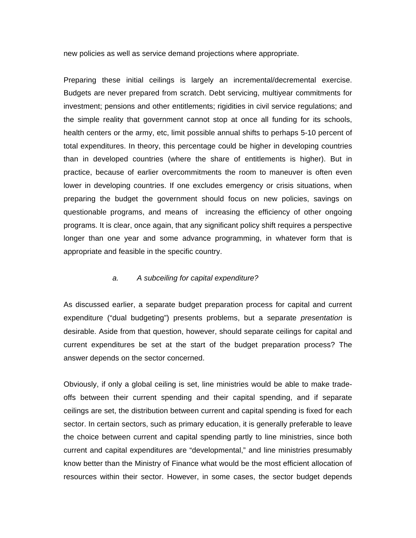new policies as well as service demand projections where appropriate.

Preparing these initial ceilings is largely an incremental/decremental exercise. Budgets are never prepared from scratch. Debt servicing, multiyear commitments for investment; pensions and other entitlements; rigidities in civil service regulations; and the simple reality that government cannot stop at once all funding for its schools, health centers or the army, etc, limit possible annual shifts to perhaps 5-10 percent of total expenditures. In theory, this percentage could be higher in developing countries than in developed countries (where the share of entitlements is higher). But in practice, because of earlier overcommitments the room to maneuver is often even lower in developing countries. If one excludes emergency or crisis situations, when preparing the budget the government should focus on new policies, savings on questionable programs, and means of increasing the efficiency of other ongoing programs. It is clear, once again, that any significant policy shift requires a perspective longer than one year and some advance programming, in whatever form that is appropriate and feasible in the specific country.

#### *a. A subceiling for capital expenditure?*

As discussed earlier, a separate budget preparation process for capital and current expenditure ("dual budgeting") presents problems, but a separate *presentation* is desirable. Aside from that question, however, should separate ceilings for capital and current expenditures be set at the start of the budget preparation process? The answer depends on the sector concerned.

Obviously, if only a global ceiling is set, line ministries would be able to make tradeoffs between their current spending and their capital spending, and if separate ceilings are set, the distribution between current and capital spending is fixed for each sector. In certain sectors, such as primary education, it is generally preferable to leave the choice between current and capital spending partly to line ministries, since both current and capital expenditures are "developmental," and line ministries presumably know better than the Ministry of Finance what would be the most efficient allocation of resources within their sector. However, in some cases, the sector budget depends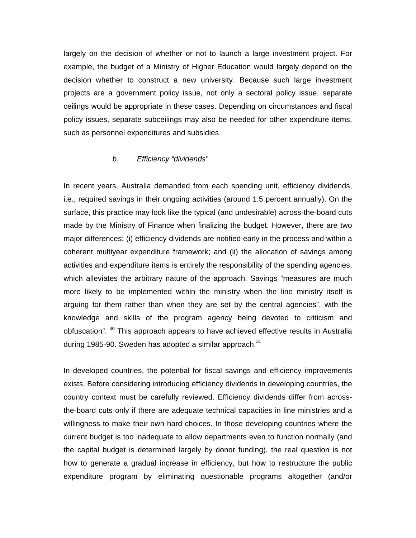largely on the decision of whether or not to launch a large investment project. For example, the budget of a Ministry of Higher Education would largely depend on the decision whether to construct a new university. Because such large investment projects are a government policy issue, not only a sectoral policy issue, separate ceilings would be appropriate in these cases. Depending on circumstances and fiscal policy issues, separate subceilings may also be needed for other expenditure items, such as personnel expenditures and subsidies.

#### *b. Efficiency "dividends"*

In recent years, Australia demanded from each spending unit, efficiency dividends, i.e., required savings in their ongoing activities (around 1.5 percent annually). On the surface, this practice may look like the typical (and undesirable) across-the-board cuts made by the Ministry of Finance when finalizing the budget. However, there are two major differences: (i) efficiency dividends are notified early in the process and within a coherent multiyear expenditure framework; and (ii) the allocation of savings among activities and expenditure items is entirely the responsibility of the spending agencies, which alleviates the arbitrary nature of the approach. Savings "measures are much more likely to be implemented within the ministry when the line ministry itself is arguing for them rather than when they are set by the central agencies", with the knowledge and skills of the program agency being devoted to criticism and obfuscation". <sup>30</sup> This approach appears to have achieved effective results in Australia during 1985-90. Sweden has adopted a similar approach. $31$ 

In developed countries, the potential for fiscal savings and efficiency improvements exists. Before considering introducing efficiency dividends in developing countries, the country context must be carefully reviewed. Efficiency dividends differ from acrossthe-board cuts only if there are adequate technical capacities in line ministries and a willingness to make their own hard choices. In those developing countries where the current budget is too inadequate to allow departments even to function normally (and the capital budget is determined largely by donor funding), the real question is not how to generate a gradual increase in efficiency, but how to restructure the public expenditure program by eliminating questionable programs altogether (and/or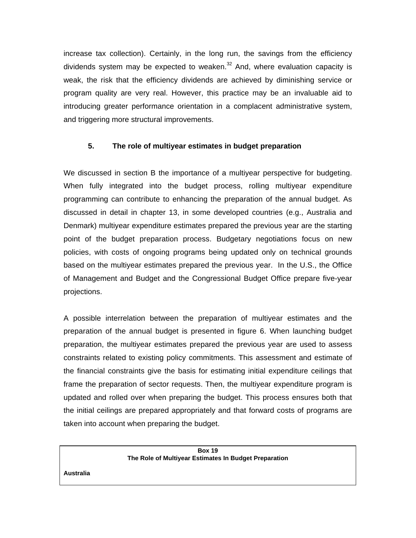increase tax collection). Certainly, in the long run, the savings from the efficiency dividends system may be expected to weaken. $32$  And, where evaluation capacity is weak, the risk that the efficiency dividends are achieved by diminishing service or program quality are very real. However, this practice may be an invaluable aid to introducing greater performance orientation in a complacent administrative system, and triggering more structural improvements.

## **5. The role of multiyear estimates in budget preparation**

We discussed in section B the importance of a multiyear perspective for budgeting. When fully integrated into the budget process, rolling multiyear expenditure programming can contribute to enhancing the preparation of the annual budget. As discussed in detail in chapter 13, in some developed countries (e.g., Australia and Denmark) multiyear expenditure estimates prepared the previous year are the starting point of the budget preparation process. Budgetary negotiations focus on new policies, with costs of ongoing programs being updated only on technical grounds based on the multiyear estimates prepared the previous year. In the U.S., the Office of Management and Budget and the Congressional Budget Office prepare five-year projections.

A possible interrelation between the preparation of multiyear estimates and the preparation of the annual budget is presented in figure 6. When launching budget preparation, the multiyear estimates prepared the previous year are used to assess constraints related to existing policy commitments. This assessment and estimate of the financial constraints give the basis for estimating initial expenditure ceilings that frame the preparation of sector requests. Then, the multiyear expenditure program is updated and rolled over when preparing the budget. This process ensures both that the initial ceilings are prepared appropriately and that forward costs of programs are taken into account when preparing the budget.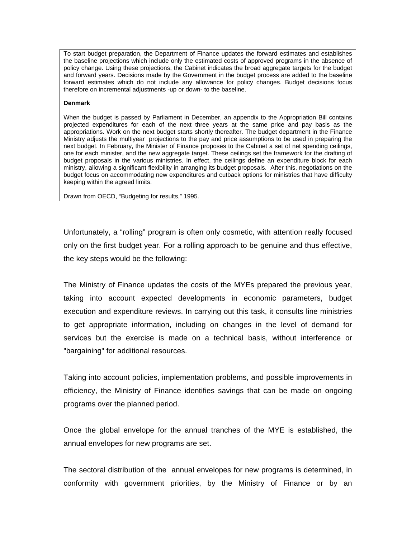To start budget preparation, the Department of Finance updates the forward estimates and establishes the baseline projections which include only the estimated costs of approved programs in the absence of policy change. Using these projections, the Cabinet indicates the broad aggregate targets for the budget and forward years. Decisions made by the Government in the budget process are added to the baseline forward estimates which do not include any allowance for policy changes. Budget decisions focus therefore on incremental adjustments -up or down- to the baseline.

#### **Denmark**

When the budget is passed by Parliament in December, an appendix to the Appropriation Bill contains projected expenditures for each of the next three years at the same price and pay basis as the appropriations. Work on the next budget starts shortly thereafter. The budget department in the Finance Ministry adjusts the multiyear projections to the pay and price assumptions to be used in preparing the next budget. In February, the Minister of Finance proposes to the Cabinet a set of net spending ceilings, one for each minister, and the new aggregate target. These ceilings set the framework for the drafting of budget proposals in the various ministries. In effect, the ceilings define an expenditure block for each ministry, allowing a significant flexibility in arranging its budget proposals. After this, negotiations on the budget focus on accommodating new expenditures and cutback options for ministries that have difficulty keeping within the agreed limits.

Drawn from OECD, "Budgeting for results," 1995.

Unfortunately, a "rolling" program is often only cosmetic, with attention really focused only on the first budget year. For a rolling approach to be genuine and thus effective, the key steps would be the following:

The Ministry of Finance updates the costs of the MYEs prepared the previous year, taking into account expected developments in economic parameters, budget execution and expenditure reviews. In carrying out this task, it consults line ministries to get appropriate information, including on changes in the level of demand for services but the exercise is made on a technical basis, without interference or "bargaining" for additional resources.

Taking into account policies, implementation problems, and possible improvements in efficiency, the Ministry of Finance identifies savings that can be made on ongoing programs over the planned period.

Once the global envelope for the annual tranches of the MYE is established, the annual envelopes for new programs are set.

The sectoral distribution of the annual envelopes for new programs is determined, in conformity with government priorities, by the Ministry of Finance or by an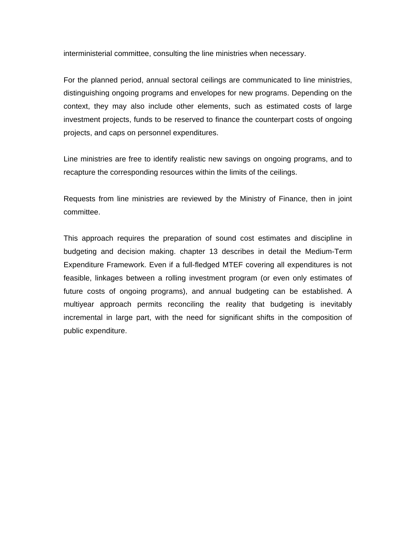interministerial committee, consulting the line ministries when necessary.

For the planned period, annual sectoral ceilings are communicated to line ministries, distinguishing ongoing programs and envelopes for new programs. Depending on the context, they may also include other elements, such as estimated costs of large investment projects, funds to be reserved to finance the counterpart costs of ongoing projects, and caps on personnel expenditures.

Line ministries are free to identify realistic new savings on ongoing programs, and to recapture the corresponding resources within the limits of the ceilings.

Requests from line ministries are reviewed by the Ministry of Finance, then in joint committee.

This approach requires the preparation of sound cost estimates and discipline in budgeting and decision making. chapter 13 describes in detail the Medium-Term Expenditure Framework. Even if a full-fledged MTEF covering all expenditures is not feasible, linkages between a rolling investment program (or even only estimates of future costs of ongoing programs), and annual budgeting can be established. A multiyear approach permits reconciling the reality that budgeting is inevitably incremental in large part, with the need for significant shifts in the composition of public expenditure.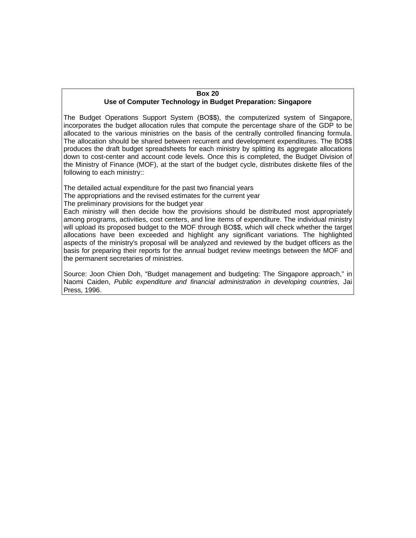#### **Box 20 Use of Computer Technology in Budget Preparation: Singapore**

The Budget Operations Support System (BO\$\$), the computerized system of Singapore, incorporates the budget allocation rules that compute the percentage share of the GDP to be allocated to the various ministries on the basis of the centrally controlled financing formula. The allocation should be shared between recurrent and development expenditures. The BO\$\$ produces the draft budget spreadsheets for each ministry by splitting its aggregate allocations down to cost-center and account code levels. Once this is completed, the Budget Division of the Ministry of Finance (MOF), at the start of the budget cycle, distributes diskette files of the following to each ministry::

The detailed actual expenditure for the past two financial years

The appropriations and the revised estimates for the current year

The preliminary provisions for the budget year

Each ministry will then decide how the provisions should be distributed most appropriately among programs, activities, cost centers, and line items of expenditure. The individual ministry will upload its proposed budget to the MOF through BO\$\$, which will check whether the target allocations have been exceeded and highlight any significant variations. The highlighted aspects of the ministry's proposal will be analyzed and reviewed by the budget officers as the basis for preparing their reports for the annual budget review meetings between the MOF and the permanent secretaries of ministries.

Source: Joon Chien Doh, "Budget management and budgeting: The Singapore approach," in Naomi Caiden, *Public expenditure and financial administration in developing countries*, Jai Press, 1996.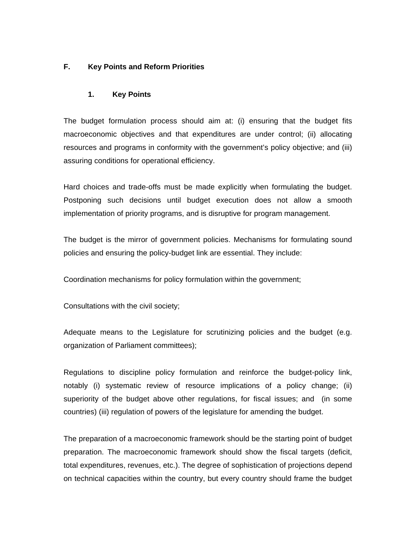# **F. Key Points and Reform Priorities**

## **1. Key Points**

The budget formulation process should aim at: (i) ensuring that the budget fits macroeconomic objectives and that expenditures are under control; (ii) allocating resources and programs in conformity with the government's policy objective; and (iii) assuring conditions for operational efficiency.

Hard choices and trade-offs must be made explicitly when formulating the budget. Postponing such decisions until budget execution does not allow a smooth implementation of priority programs, and is disruptive for program management.

The budget is the mirror of government policies. Mechanisms for formulating sound policies and ensuring the policy-budget link are essential. They include:

Coordination mechanisms for policy formulation within the government;

Consultations with the civil society;

Adequate means to the Legislature for scrutinizing policies and the budget (e.g. organization of Parliament committees);

Regulations to discipline policy formulation and reinforce the budget-policy link, notably (i) systematic review of resource implications of a policy change; (ii) superiority of the budget above other regulations, for fiscal issues; and (in some countries) (iii) regulation of powers of the legislature for amending the budget.

The preparation of a macroeconomic framework should be the starting point of budget preparation. The macroeconomic framework should show the fiscal targets (deficit, total expenditures, revenues, etc.). The degree of sophistication of projections depend on technical capacities within the country, but every country should frame the budget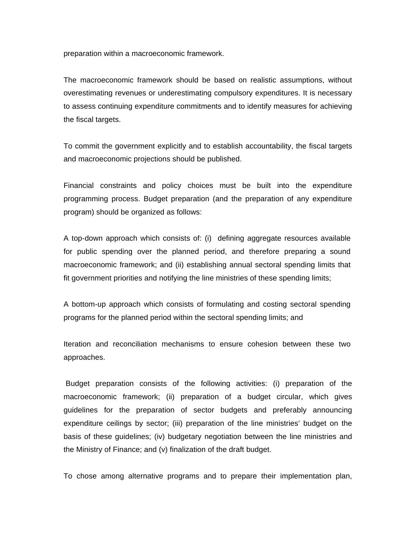preparation within a macroeconomic framework.

The macroeconomic framework should be based on realistic assumptions, without overestimating revenues or underestimating compulsory expenditures. It is necessary to assess continuing expenditure commitments and to identify measures for achieving the fiscal targets.

To commit the government explicitly and to establish accountability, the fiscal targets and macroeconomic projections should be published.

Financial constraints and policy choices must be built into the expenditure programming process. Budget preparation (and the preparation of any expenditure program) should be organized as follows:

A top-down approach which consists of: (i) defining aggregate resources available for public spending over the planned period, and therefore preparing a sound macroeconomic framework; and (ii) establishing annual sectoral spending limits that fit government priorities and notifying the line ministries of these spending limits;

A bottom-up approach which consists of formulating and costing sectoral spending programs for the planned period within the sectoral spending limits; and

Iteration and reconciliation mechanisms to ensure cohesion between these two approaches.

 Budget preparation consists of the following activities: (i) preparation of the macroeconomic framework; (ii) preparation of a budget circular, which gives guidelines for the preparation of sector budgets and preferably announcing expenditure ceilings by sector; (iii) preparation of the line ministries' budget on the basis of these guidelines; (iv) budgetary negotiation between the line ministries and the Ministry of Finance; and (v) finalization of the draft budget.

To chose among alternative programs and to prepare their implementation plan,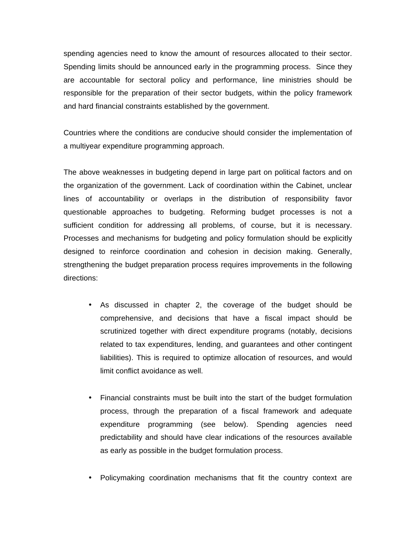spending agencies need to know the amount of resources allocated to their sector. Spending limits should be announced early in the programming process. Since they are accountable for sectoral policy and performance, line ministries should be responsible for the preparation of their sector budgets, within the policy framework and hard financial constraints established by the government.

Countries where the conditions are conducive should consider the implementation of a multiyear expenditure programming approach.

The above weaknesses in budgeting depend in large part on political factors and on the organization of the government. Lack of coordination within the Cabinet, unclear lines of accountability or overlaps in the distribution of responsibility favor questionable approaches to budgeting. Reforming budget processes is not a sufficient condition for addressing all problems, of course, but it is necessary. Processes and mechanisms for budgeting and policy formulation should be explicitly designed to reinforce coordination and cohesion in decision making. Generally, strengthening the budget preparation process requires improvements in the following directions:

- As discussed in chapter 2, the coverage of the budget should be comprehensive, and decisions that have a fiscal impact should be scrutinized together with direct expenditure programs (notably, decisions related to tax expenditures, lending, and guarantees and other contingent liabilities). This is required to optimize allocation of resources, and would limit conflict avoidance as well.
- Financial constraints must be built into the start of the budget formulation process, through the preparation of a fiscal framework and adequate expenditure programming (see below). Spending agencies need predictability and should have clear indications of the resources available as early as possible in the budget formulation process.
- Policymaking coordination mechanisms that fit the country context are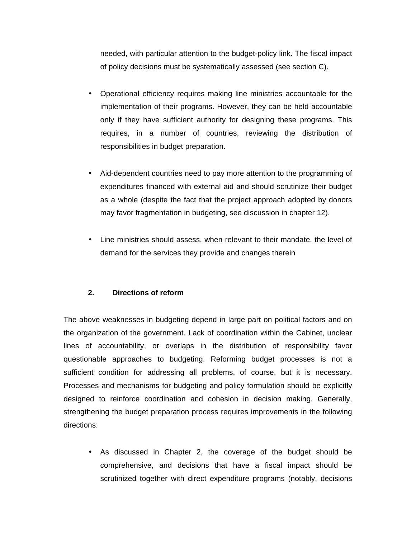needed, with particular attention to the budget-policy link. The fiscal impact of policy decisions must be systematically assessed (see section C).

- Operational efficiency requires making line ministries accountable for the implementation of their programs. However, they can be held accountable only if they have sufficient authority for designing these programs. This requires, in a number of countries, reviewing the distribution of responsibilities in budget preparation.
- Aid-dependent countries need to pay more attention to the programming of expenditures financed with external aid and should scrutinize their budget as a whole (despite the fact that the project approach adopted by donors may favor fragmentation in budgeting, see discussion in chapter 12).
- Line ministries should assess, when relevant to their mandate, the level of demand for the services they provide and changes therein

# **2. Directions of reform**

The above weaknesses in budgeting depend in large part on political factors and on the organization of the government. Lack of coordination within the Cabinet, unclear lines of accountability, or overlaps in the distribution of responsibility favor questionable approaches to budgeting. Reforming budget processes is not a sufficient condition for addressing all problems, of course, but it is necessary. Processes and mechanisms for budgeting and policy formulation should be explicitly designed to reinforce coordination and cohesion in decision making. Generally, strengthening the budget preparation process requires improvements in the following directions:

• As discussed in Chapter 2, the coverage of the budget should be comprehensive, and decisions that have a fiscal impact should be scrutinized together with direct expenditure programs (notably, decisions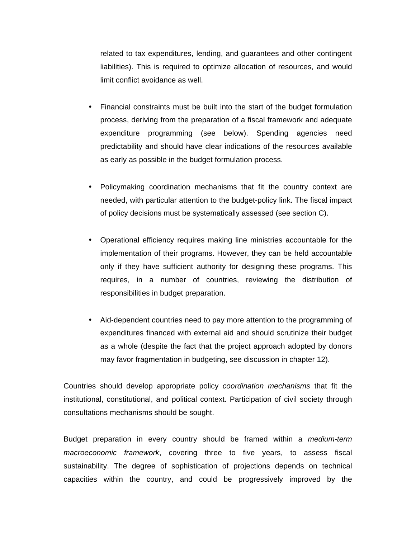related to tax expenditures, lending, and guarantees and other contingent liabilities). This is required to optimize allocation of resources, and would limit conflict avoidance as well.

- Financial constraints must be built into the start of the budget formulation process, deriving from the preparation of a fiscal framework and adequate expenditure programming (see below). Spending agencies need predictability and should have clear indications of the resources available as early as possible in the budget formulation process.
- Policymaking coordination mechanisms that fit the country context are needed, with particular attention to the budget-policy link. The fiscal impact of policy decisions must be systematically assessed (see section C).
- Operational efficiency requires making line ministries accountable for the implementation of their programs. However, they can be held accountable only if they have sufficient authority for designing these programs. This requires, in a number of countries, reviewing the distribution of responsibilities in budget preparation.
- Aid-dependent countries need to pay more attention to the programming of expenditures financed with external aid and should scrutinize their budget as a whole (despite the fact that the project approach adopted by donors may favor fragmentation in budgeting, see discussion in chapter 12).

Countries should develop appropriate policy *coordination mechanisms* that fit the institutional, constitutional, and political context. Participation of civil society through consultations mechanisms should be sought.

Budget preparation in every country should be framed within a *medium-term macroeconomic framework*, covering three to five years, to assess fiscal sustainability. The degree of sophistication of projections depends on technical capacities within the country, and could be progressively improved by the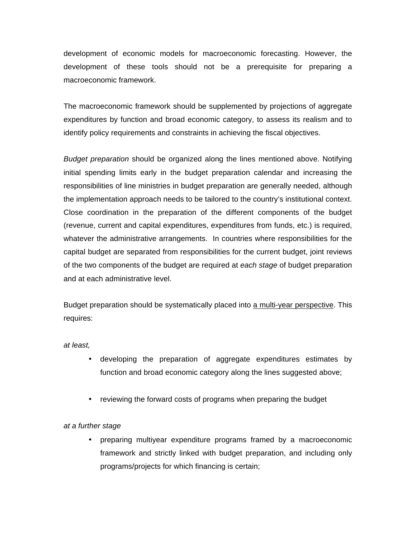development of economic models for macroeconomic forecasting. However, the development of these tools should not be a prerequisite for preparing a macroeconomic framework.

The macroeconomic framework should be supplemented by projections of aggregate expenditures by function and broad economic category, to assess its realism and to identify policy requirements and constraints in achieving the fiscal objectives.

*Budget preparation* should be organized along the lines mentioned above. Notifying initial spending limits early in the budget preparation calendar and increasing the responsibilities of line ministries in budget preparation are generally needed, although the implementation approach needs to be tailored to the country's institutional context. Close coordination in the preparation of the different components of the budget (revenue, current and capital expenditures, expenditures from funds, etc.) is required, whatever the administrative arrangements. In countries where responsibilities for the capital budget are separated from responsibilities for the current budget, joint reviews of the two components of the budget are required at *each stage* of budget preparation and at each administrative level.

Budget preparation should be systematically placed into a multi-year perspective. This requires:

*at least,*

- developing the preparation of aggregate expenditures estimates by function and broad economic category along the lines suggested above;
- reviewing the forward costs of programs when preparing the budget

## *at a further stage*

• preparing multiyear expenditure programs framed by a macroeconomic framework and strictly linked with budget preparation, and including only programs/projects for which financing is certain;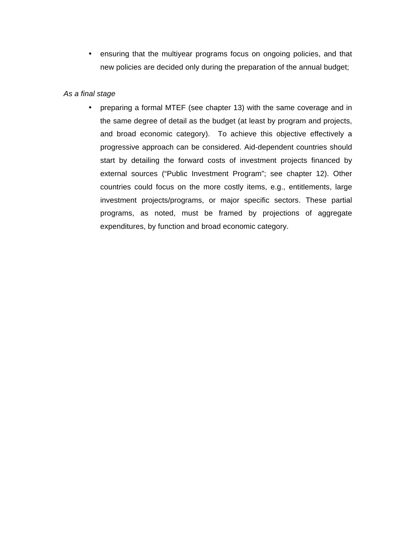• ensuring that the multiyear programs focus on ongoing policies, and that new policies are decided only during the preparation of the annual budget;

### *As a final stage*

• preparing a formal MTEF (see chapter 13) with the same coverage and in the same degree of detail as the budget (at least by program and projects, and broad economic category). To achieve this objective effectively a progressive approach can be considered. Aid-dependent countries should start by detailing the forward costs of investment projects financed by external sources ("Public Investment Program"; see chapter 12). Other countries could focus on the more costly items, e.g., entitlements, large investment projects/programs, or major specific sectors. These partial programs, as noted, must be framed by projections of aggregate expenditures, by function and broad economic category.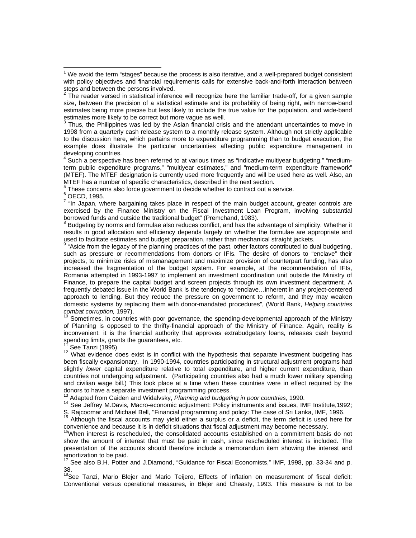3 Thus, the Philippines was led by the Asian financial crisis and the attendant uncertainties to move in 1998 from a quarterly cash release system to a monthly release system. Although not strictly applicable to the discussion here, which pertains more to expenditure programming than to budget execution, the example does illustrate the particular uncertainties affecting public expenditure management in developing countries.

<sup>4</sup> Such a perspective has been referred to at various times as "indicative multiyear budgeting," "mediumterm public expenditure programs," "multiyear estimates," and "medium-term expenditure framework" (MTEF). The MTEF designation is currently used more frequently and will be used here as well. Also, an MTEF has a number of specific characteristics, described in the next section.

 $5$  These concerns also force government to decide whether to contract out a service.

 $^6$  OECD, 1995.

 $7$  "In Japan, where bargaining takes place in respect of the main budget account, greater controls are exercised by the Finance Ministry on the Fiscal Investment Loan Program, involving substantial borrowed funds and outside the traditional budget" (Premchand, 1983).

<sup>8</sup> Budgeting by norms and formulae also reduces conflict, and has the advantage of simplicity. Whether it results in good allocation and efficiency depends largely on whether the formulae are appropriate and used to facilitate estimates and budget preparation, rather than mechanical straight jackets.

<sup>9</sup> "Aside from the legacy of the planning practices of the past, other factors contributed to dual budgeting, such as pressure or recommendations from donors or IFIs. The desire of donors to "enclave" their projects, to minimize risks of mismanagement and maximize provision of counterpart funding, has also increased the fragmentation of the budget system. For example, at the recommendation of IFIs, Romania attempted in 1993-1997 to implement an investment coordination unit outside the Ministry of Finance, to prepare the capital budget and screen projects through its own investment department. A frequently debated issue in the World Bank is the tendency to "enclave…inherent in any project-centered approach to lending. But they reduce the pressure on government to reform, and they may weaken domestic systems by replacing them with donor-mandated procedures", (World Bank, *Helping countries combat corruption,* 1997).

 $10$  Sometimes, in countries with poor governance, the spending-developmental approach of the Ministry of Planning is opposed to the thrifty-financial approach of the Ministry of Finance. Again, reality is inconvenient: it is the financial authority that approves extrabudgetary loans, releases cash beyond spending limits, grants the guarantees, etc.

See Tanzi (1995).

12 What evidence does exist is in conflict with the hypothesis that separate investment budgeting has been fiscally expansionary. In 1990-1994, countries participating in structural adjustment programs had slightly *lower* capital expenditure relative to total expenditure, and higher current expenditure, than countries not undergoing adjustment. (Participating countries also had a much lower military spending and civilian wage bill.) This took place at a time when these countries were in effect required by the donors to have a separate investment programming process.

<sup>13</sup> Adapted from Caiden and Widalvsky, *Planning and budgeting in poor countries*, 1990.

<sup>14</sup> See Jeffrey M.Davis, Macro-economic adjustment: Policy instruments and issues, IMF Institute,1992;

S. Rajcoomar and Michael Bell, "Financial programming and policy: The case of Sri Lanka, IMF, 1996. <sup>15</sup> Although the fiscal accounts may yield either a surplus or a deficit, the term deficit is used here for

convenience and because it is in deficit situations that fiscal adjustment may become necessary.

<sup>16</sup>When interest is rescheduled, the consolidated accounts established on a commitment basis do not show the amount of interest that must be paid in cash, since rescheduled interest is included. The presentation of the accounts should therefore include a memorandum item showing the interest and amortization to be paid.

<sup>17</sup> See also B.H. Potter and J.Diamond, "Guidance for Fiscal Economists," IMF, 1998, pp. 33-34 and p. 38.

<sup>18</sup>See Tanzi, Mario Blejer and Mario Teijero, Effects of inflation on measurement of fiscal deficit: Conventional versus operational measures, in Blejer and Cheasty, 1993. This measure is not to be

 $1$  We avoid the term "stages" because the process is also iterative, and a well-prepared budget consistent with policy objectives and financial requirements calls for extensive back-and-forth interaction between steps and between the persons involved.

 $2$  The reader versed in statistical inference will recognize here the familiar trade-off, for a given sample size, between the precision of a statistical estimate and its probability of being right, with narrow-band estimates being more precise but less likely to include the true value for the population, and wide-band estimates more likely to be correct but more vague as well.